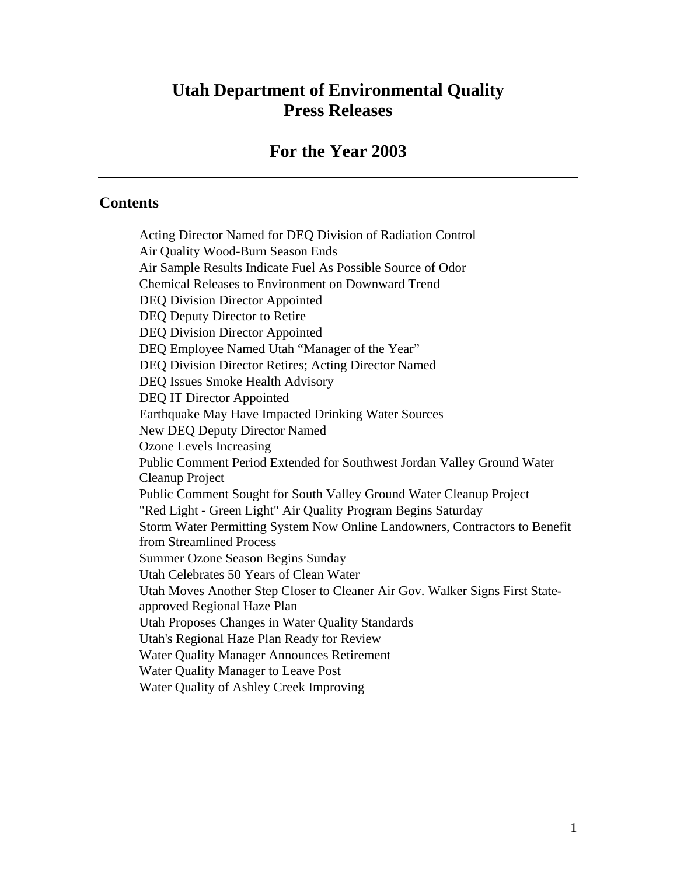# **Utah Department of Environmental Quality Press Releases**

# **For the Year 2003**

#### **Contents**

Acting Director Named for DEQ Division of Radiation Control Air Quality Wood-Burn Season Ends Air Sample Results Indicate Fuel As Possible Source of Odor Chemical Releases to Environment on Downward Trend DEQ Division Director Appointed DEQ Deputy Director to Retire DEQ Division Director Appointed DEQ Employee Named Utah "Manager of the Year" DEQ Division Director Retires; Acting Director Named DEQ Issues Smoke Health Advisory DEQ IT Director Appointed Earthquake May Have Impacted Drinking Water Sources New DEQ Deputy Director Named Ozone Levels Increasing Public Comment Period Extended for Southwest Jordan Valley Ground Water Cleanup Project Public Comment Sought for South Valley Ground Water Cleanup Project "Red Light - Green Light" Air Quality Program Begins Saturday Storm Water Permitting System Now Online Landowners, Contractors to Benefit from Streamlined Process Summer Ozone Season Begins Sunday Utah Celebrates 50 Years of Clean Water Utah Moves Another Step Closer to Cleaner Air Gov. Walker Signs First Stateapproved Regional Haze Plan Utah Proposes Changes in Water Quality Standards Utah's Regional Haze Plan Ready for Review Water Quality Manager Announces Retirement Water Quality Manager to Leave Post Water Quality of Ashley Creek Improving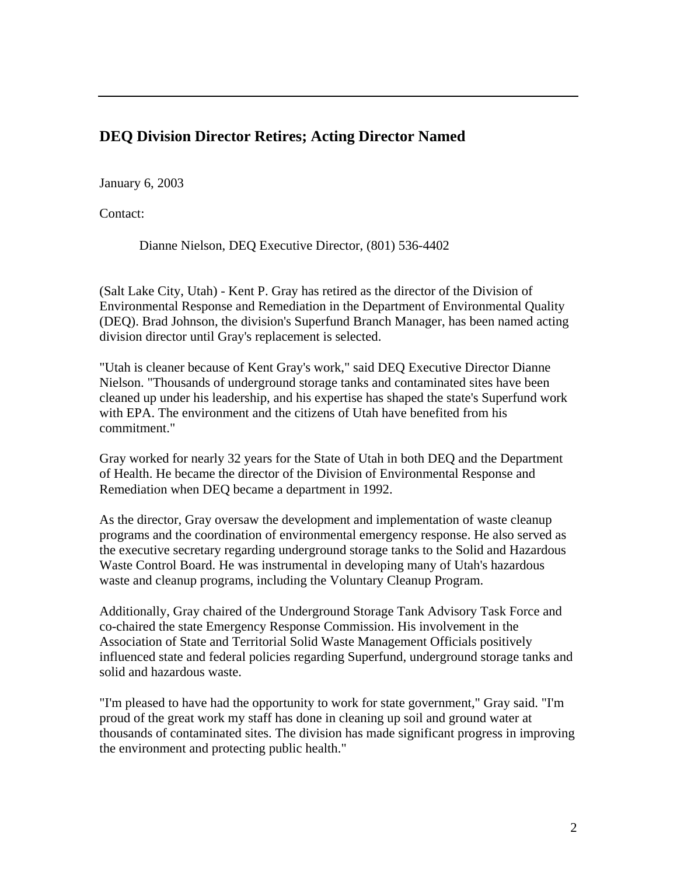## **DEQ Division Director Retires; Acting Director Named**

January 6, 2003

Contact:

Dianne Nielson, DEQ Executive Director, (801) 536-4402

(Salt Lake City, Utah) - Kent P. Gray has retired as the director of the Division of Environmental Response and Remediation in the Department of Environmental Quality (DEQ). Brad Johnson, the division's Superfund Branch Manager, has been named acting division director until Gray's replacement is selected.

"Utah is cleaner because of Kent Gray's work," said DEQ Executive Director Dianne Nielson. "Thousands of underground storage tanks and contaminated sites have been cleaned up under his leadership, and his expertise has shaped the state's Superfund work with EPA. The environment and the citizens of Utah have benefited from his commitment."

Gray worked for nearly 32 years for the State of Utah in both DEQ and the Department of Health. He became the director of the Division of Environmental Response and Remediation when DEQ became a department in 1992.

As the director, Gray oversaw the development and implementation of waste cleanup programs and the coordination of environmental emergency response. He also served as the executive secretary regarding underground storage tanks to the Solid and Hazardous Waste Control Board. He was instrumental in developing many of Utah's hazardous waste and cleanup programs, including the Voluntary Cleanup Program.

Additionally, Gray chaired of the Underground Storage Tank Advisory Task Force and co-chaired the state Emergency Response Commission. His involvement in the Association of State and Territorial Solid Waste Management Officials positively influenced state and federal policies regarding Superfund, underground storage tanks and solid and hazardous waste.

"I'm pleased to have had the opportunity to work for state government," Gray said. "I'm proud of the great work my staff has done in cleaning up soil and ground water at thousands of contaminated sites. The division has made significant progress in improving the environment and protecting public health."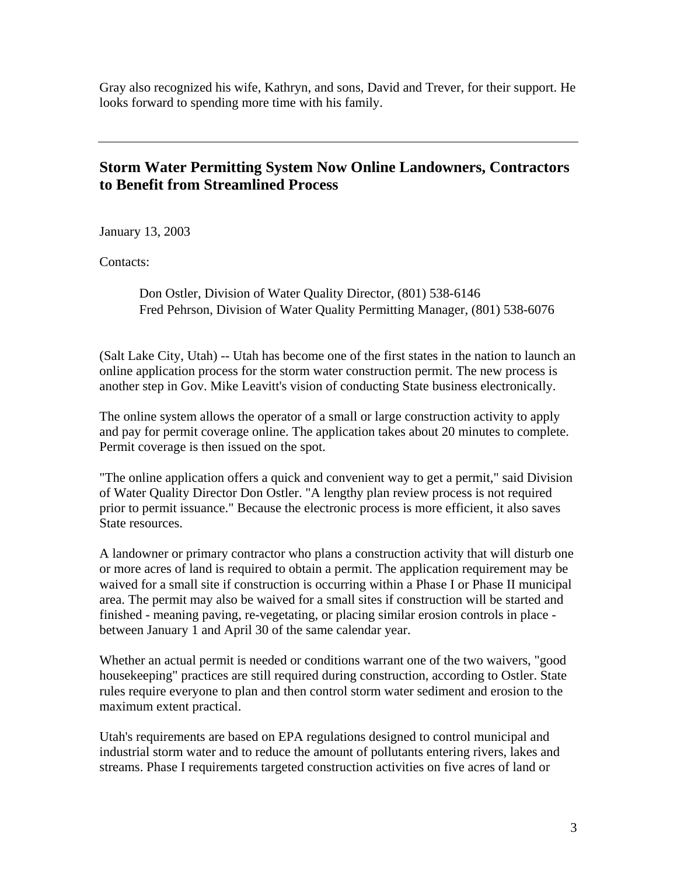Gray also recognized his wife, Kathryn, and sons, David and Trever, for their support. He looks forward to spending more time with his family.

#### **Storm Water Permitting System Now Online Landowners, Contractors to Benefit from Streamlined Process**

January 13, 2003

Contacts:

Don Ostler, Division of Water Quality Director, (801) 538-6146 Fred Pehrson, Division of Water Quality Permitting Manager, (801) 538-6076

(Salt Lake City, Utah) -- Utah has become one of the first states in the nation to launch an online application process for the storm water construction permit. The new process is another step in Gov. Mike Leavitt's vision of conducting State business electronically.

The online system allows the operator of a small or large construction activity to apply and pay for permit coverage online. The application takes about 20 minutes to complete. Permit coverage is then issued on the spot.

"The online application offers a quick and convenient way to get a permit," said Division of Water Quality Director Don Ostler. "A lengthy plan review process is not required prior to permit issuance." Because the electronic process is more efficient, it also saves State resources.

A landowner or primary contractor who plans a construction activity that will disturb one or more acres of land is required to obtain a permit. The application requirement may be waived for a small site if construction is occurring within a Phase I or Phase II municipal area. The permit may also be waived for a small sites if construction will be started and finished - meaning paving, re-vegetating, or placing similar erosion controls in place between January 1 and April 30 of the same calendar year.

Whether an actual permit is needed or conditions warrant one of the two waivers, "good housekeeping" practices are still required during construction, according to Ostler. State rules require everyone to plan and then control storm water sediment and erosion to the maximum extent practical.

Utah's requirements are based on EPA regulations designed to control municipal and industrial storm water and to reduce the amount of pollutants entering rivers, lakes and streams. Phase I requirements targeted construction activities on five acres of land or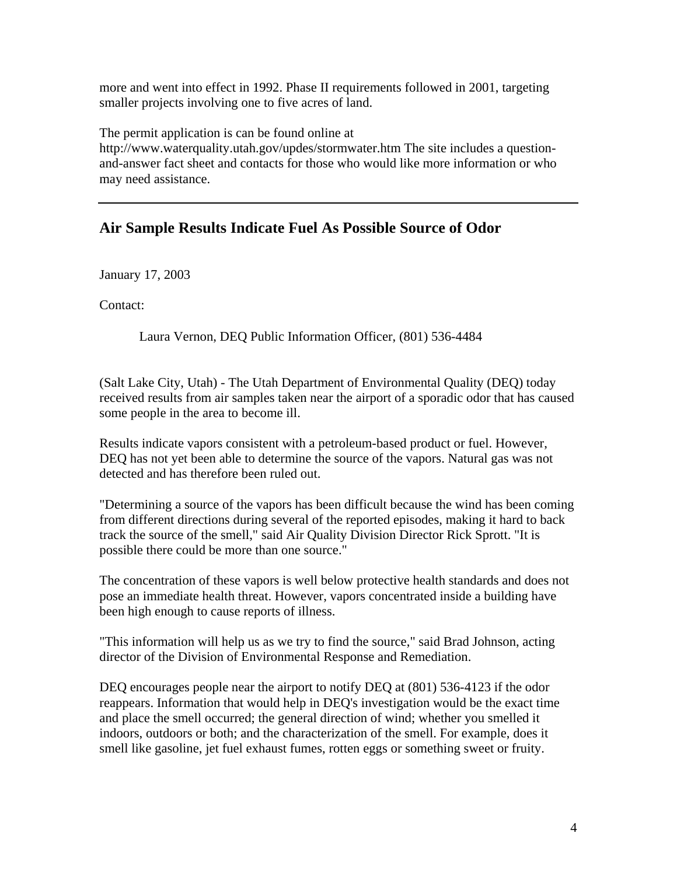more and went into effect in 1992. Phase II requirements followed in 2001, targeting smaller projects involving one to five acres of land.

The permit application is can be found online at http://www.waterquality.utah.gov/updes/stormwater.htm The site includes a questionand-answer fact sheet and contacts for those who would like more information or who may need assistance.

# **Air Sample Results Indicate Fuel As Possible Source of Odor**

January 17, 2003

Contact:

Laura Vernon, DEQ Public Information Officer, (801) 536-4484

(Salt Lake City, Utah) - The Utah Department of Environmental Quality (DEQ) today received results from air samples taken near the airport of a sporadic odor that has caused some people in the area to become ill.

Results indicate vapors consistent with a petroleum-based product or fuel. However, DEQ has not yet been able to determine the source of the vapors. Natural gas was not detected and has therefore been ruled out.

"Determining a source of the vapors has been difficult because the wind has been coming from different directions during several of the reported episodes, making it hard to back track the source of the smell," said Air Quality Division Director Rick Sprott. "It is possible there could be more than one source."

The concentration of these vapors is well below protective health standards and does not pose an immediate health threat. However, vapors concentrated inside a building have been high enough to cause reports of illness.

"This information will help us as we try to find the source," said Brad Johnson, acting director of the Division of Environmental Response and Remediation.

DEQ encourages people near the airport to notify DEQ at (801) 536-4123 if the odor reappears. Information that would help in DEQ's investigation would be the exact time and place the smell occurred; the general direction of wind; whether you smelled it indoors, outdoors or both; and the characterization of the smell. For example, does it smell like gasoline, jet fuel exhaust fumes, rotten eggs or something sweet or fruity.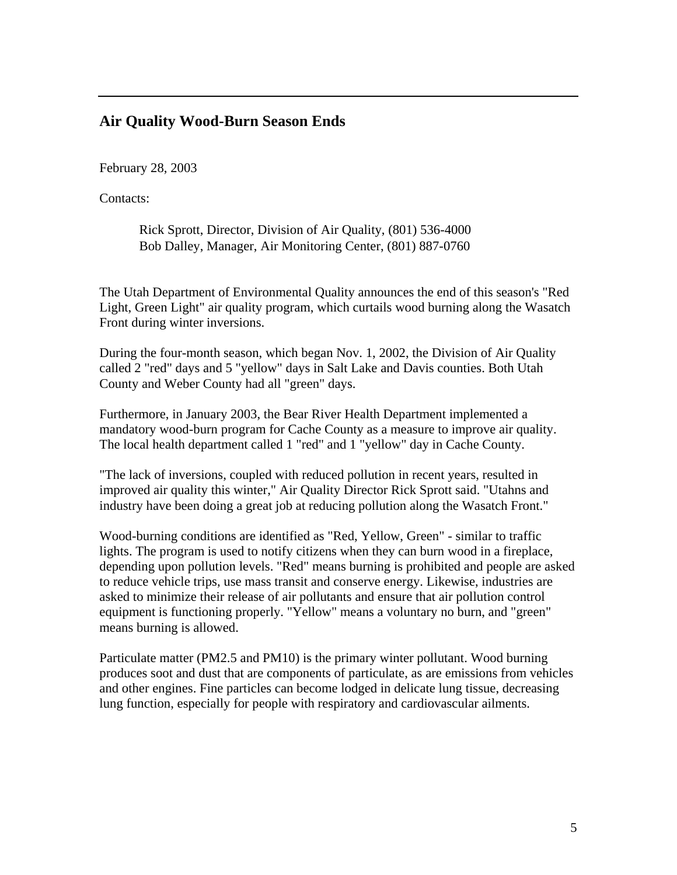## **Air Quality Wood-Burn Season Ends**

February 28, 2003

Contacts:

Rick Sprott, Director, Division of Air Quality, (801) 536-4000 Bob Dalley, Manager, Air Monitoring Center, (801) 887-0760

The Utah Department of Environmental Quality announces the end of this season's "Red Light, Green Light" air quality program, which curtails wood burning along the Wasatch Front during winter inversions.

During the four-month season, which began Nov. 1, 2002, the Division of Air Quality called 2 "red" days and 5 "yellow" days in Salt Lake and Davis counties. Both Utah County and Weber County had all "green" days.

Furthermore, in January 2003, the Bear River Health Department implemented a mandatory wood-burn program for Cache County as a measure to improve air quality. The local health department called 1 "red" and 1 "yellow" day in Cache County.

"The lack of inversions, coupled with reduced pollution in recent years, resulted in improved air quality this winter," Air Quality Director Rick Sprott said. "Utahns and industry have been doing a great job at reducing pollution along the Wasatch Front."

Wood-burning conditions are identified as "Red, Yellow, Green" - similar to traffic lights. The program is used to notify citizens when they can burn wood in a fireplace, depending upon pollution levels. "Red" means burning is prohibited and people are asked to reduce vehicle trips, use mass transit and conserve energy. Likewise, industries are asked to minimize their release of air pollutants and ensure that air pollution control equipment is functioning properly. "Yellow" means a voluntary no burn, and "green" means burning is allowed.

Particulate matter (PM2.5 and PM10) is the primary winter pollutant. Wood burning produces soot and dust that are components of particulate, as are emissions from vehicles and other engines. Fine particles can become lodged in delicate lung tissue, decreasing lung function, especially for people with respiratory and cardiovascular ailments.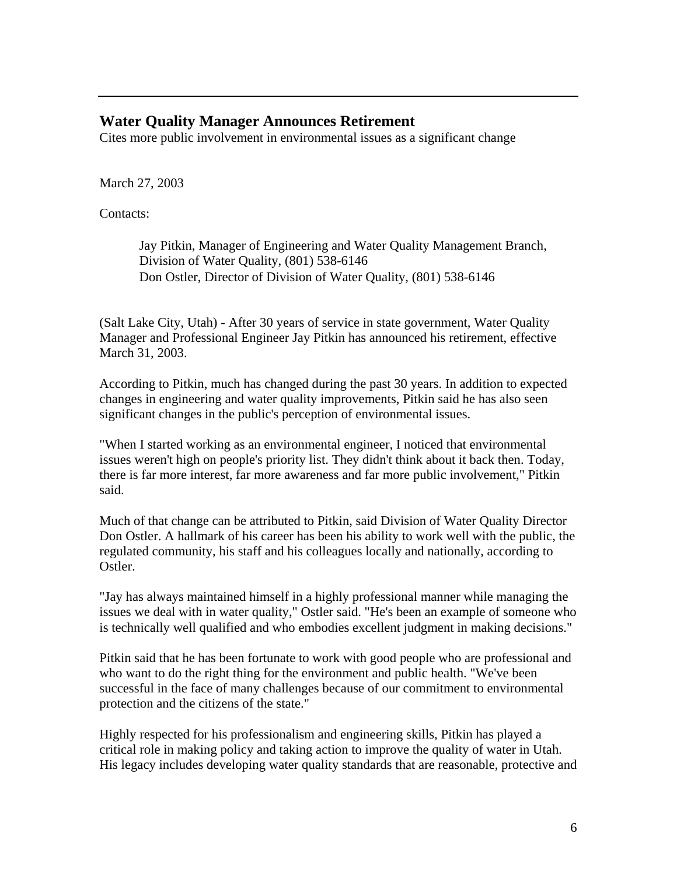#### **Water Quality Manager Announces Retirement**

Cites more public involvement in environmental issues as a significant change

March 27, 2003

Contacts:

Jay Pitkin, Manager of Engineering and Water Quality Management Branch, Division of Water Quality, (801) 538-6146 Don Ostler, Director of Division of Water Quality, (801) 538-6146

(Salt Lake City, Utah) - After 30 years of service in state government, Water Quality Manager and Professional Engineer Jay Pitkin has announced his retirement, effective March 31, 2003.

According to Pitkin, much has changed during the past 30 years. In addition to expected changes in engineering and water quality improvements, Pitkin said he has also seen significant changes in the public's perception of environmental issues.

"When I started working as an environmental engineer, I noticed that environmental issues weren't high on people's priority list. They didn't think about it back then. Today, there is far more interest, far more awareness and far more public involvement," Pitkin said.

Much of that change can be attributed to Pitkin, said Division of Water Quality Director Don Ostler. A hallmark of his career has been his ability to work well with the public, the regulated community, his staff and his colleagues locally and nationally, according to Ostler.

"Jay has always maintained himself in a highly professional manner while managing the issues we deal with in water quality," Ostler said. "He's been an example of someone who is technically well qualified and who embodies excellent judgment in making decisions."

Pitkin said that he has been fortunate to work with good people who are professional and who want to do the right thing for the environment and public health. "We've been successful in the face of many challenges because of our commitment to environmental protection and the citizens of the state."

Highly respected for his professionalism and engineering skills, Pitkin has played a critical role in making policy and taking action to improve the quality of water in Utah. His legacy includes developing water quality standards that are reasonable, protective and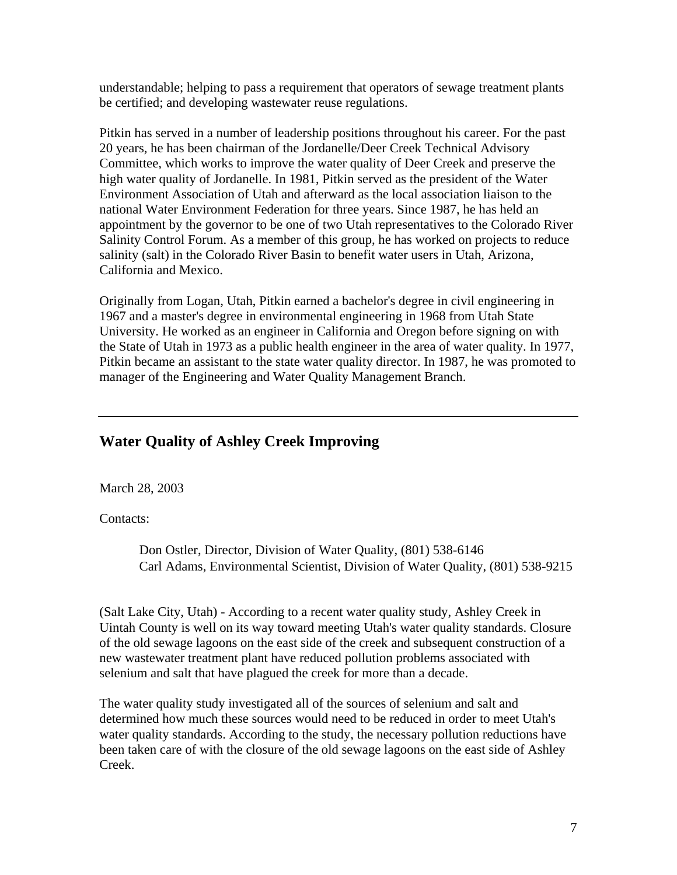understandable; helping to pass a requirement that operators of sewage treatment plants be certified; and developing wastewater reuse regulations.

Pitkin has served in a number of leadership positions throughout his career. For the past 20 years, he has been chairman of the Jordanelle/Deer Creek Technical Advisory Committee, which works to improve the water quality of Deer Creek and preserve the high water quality of Jordanelle. In 1981, Pitkin served as the president of the Water Environment Association of Utah and afterward as the local association liaison to the national Water Environment Federation for three years. Since 1987, he has held an appointment by the governor to be one of two Utah representatives to the Colorado River Salinity Control Forum. As a member of this group, he has worked on projects to reduce salinity (salt) in the Colorado River Basin to benefit water users in Utah, Arizona, California and Mexico.

Originally from Logan, Utah, Pitkin earned a bachelor's degree in civil engineering in 1967 and a master's degree in environmental engineering in 1968 from Utah State University. He worked as an engineer in California and Oregon before signing on with the State of Utah in 1973 as a public health engineer in the area of water quality. In 1977, Pitkin became an assistant to the state water quality director. In 1987, he was promoted to manager of the Engineering and Water Quality Management Branch.

# **Water Quality of Ashley Creek Improving**

March 28, 2003

Contacts:

Don Ostler, Director, Division of Water Quality, (801) 538-6146 Carl Adams, Environmental Scientist, Division of Water Quality, (801) 538-9215

(Salt Lake City, Utah) - According to a recent water quality study, Ashley Creek in Uintah County is well on its way toward meeting Utah's water quality standards. Closure of the old sewage lagoons on the east side of the creek and subsequent construction of a new wastewater treatment plant have reduced pollution problems associated with selenium and salt that have plagued the creek for more than a decade.

The water quality study investigated all of the sources of selenium and salt and determined how much these sources would need to be reduced in order to meet Utah's water quality standards. According to the study, the necessary pollution reductions have been taken care of with the closure of the old sewage lagoons on the east side of Ashley Creek.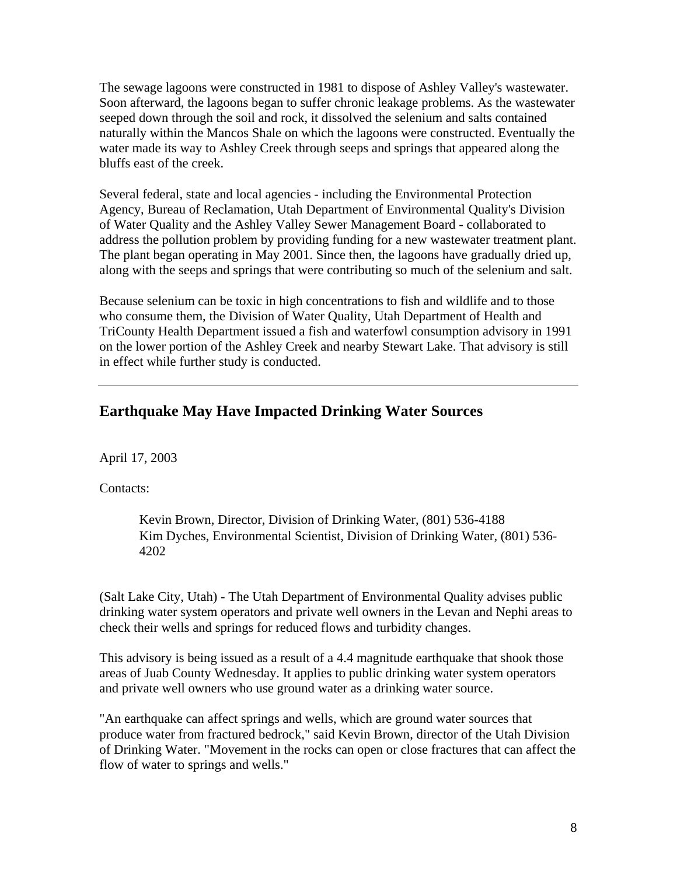The sewage lagoons were constructed in 1981 to dispose of Ashley Valley's wastewater. Soon afterward, the lagoons began to suffer chronic leakage problems. As the wastewater seeped down through the soil and rock, it dissolved the selenium and salts contained naturally within the Mancos Shale on which the lagoons were constructed. Eventually the water made its way to Ashley Creek through seeps and springs that appeared along the bluffs east of the creek.

Several federal, state and local agencies - including the Environmental Protection Agency, Bureau of Reclamation, Utah Department of Environmental Quality's Division of Water Quality and the Ashley Valley Sewer Management Board - collaborated to address the pollution problem by providing funding for a new wastewater treatment plant. The plant began operating in May 2001. Since then, the lagoons have gradually dried up, along with the seeps and springs that were contributing so much of the selenium and salt.

Because selenium can be toxic in high concentrations to fish and wildlife and to those who consume them, the Division of Water Quality, Utah Department of Health and TriCounty Health Department issued a fish and waterfowl consumption advisory in 1991 on the lower portion of the Ashley Creek and nearby Stewart Lake. That advisory is still in effect while further study is conducted.

#### **Earthquake May Have Impacted Drinking Water Sources**

April 17, 2003

Contacts:

Kevin Brown, Director, Division of Drinking Water, (801) 536-4188 Kim Dyches, Environmental Scientist, Division of Drinking Water, (801) 536- 4202

(Salt Lake City, Utah) - The Utah Department of Environmental Quality advises public drinking water system operators and private well owners in the Levan and Nephi areas to check their wells and springs for reduced flows and turbidity changes.

This advisory is being issued as a result of a 4.4 magnitude earthquake that shook those areas of Juab County Wednesday. It applies to public drinking water system operators and private well owners who use ground water as a drinking water source.

"An earthquake can affect springs and wells, which are ground water sources that produce water from fractured bedrock," said Kevin Brown, director of the Utah Division of Drinking Water. "Movement in the rocks can open or close fractures that can affect the flow of water to springs and wells."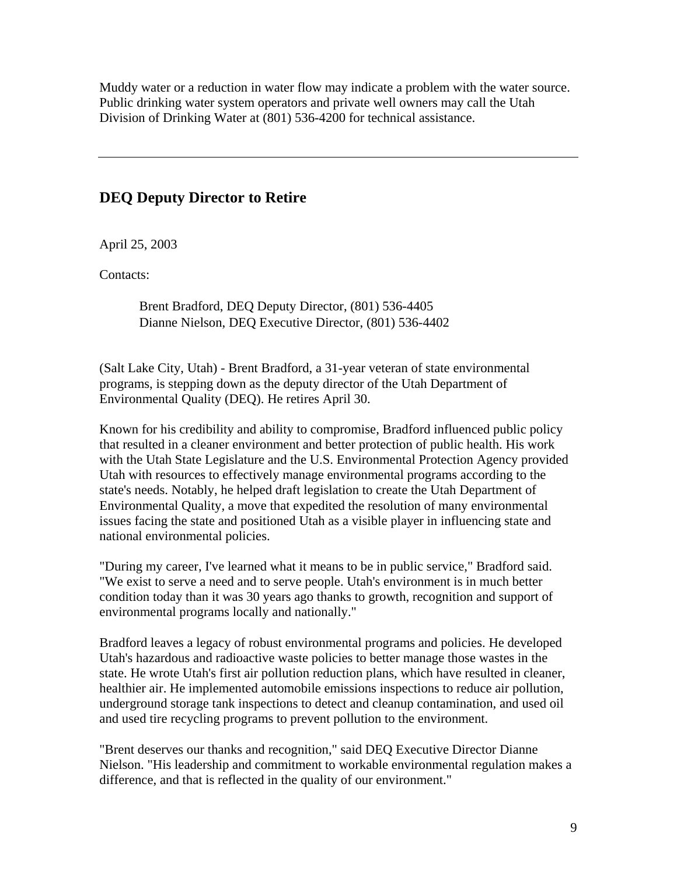Muddy water or a reduction in water flow may indicate a problem with the water source. Public drinking water system operators and private well owners may call the Utah Division of Drinking Water at (801) 536-4200 for technical assistance.

### **DEQ Deputy Director to Retire**

April 25, 2003

Contacts:

Brent Bradford, DEQ Deputy Director, (801) 536-4405 Dianne Nielson, DEQ Executive Director, (801) 536-4402

(Salt Lake City, Utah) - Brent Bradford, a 31-year veteran of state environmental programs, is stepping down as the deputy director of the Utah Department of Environmental Quality (DEQ). He retires April 30.

Known for his credibility and ability to compromise, Bradford influenced public policy that resulted in a cleaner environment and better protection of public health. His work with the Utah State Legislature and the U.S. Environmental Protection Agency provided Utah with resources to effectively manage environmental programs according to the state's needs. Notably, he helped draft legislation to create the Utah Department of Environmental Quality, a move that expedited the resolution of many environmental issues facing the state and positioned Utah as a visible player in influencing state and national environmental policies.

"During my career, I've learned what it means to be in public service," Bradford said. "We exist to serve a need and to serve people. Utah's environment is in much better condition today than it was 30 years ago thanks to growth, recognition and support of environmental programs locally and nationally."

Bradford leaves a legacy of robust environmental programs and policies. He developed Utah's hazardous and radioactive waste policies to better manage those wastes in the state. He wrote Utah's first air pollution reduction plans, which have resulted in cleaner, healthier air. He implemented automobile emissions inspections to reduce air pollution, underground storage tank inspections to detect and cleanup contamination, and used oil and used tire recycling programs to prevent pollution to the environment.

"Brent deserves our thanks and recognition," said DEQ Executive Director Dianne Nielson. "His leadership and commitment to workable environmental regulation makes a difference, and that is reflected in the quality of our environment."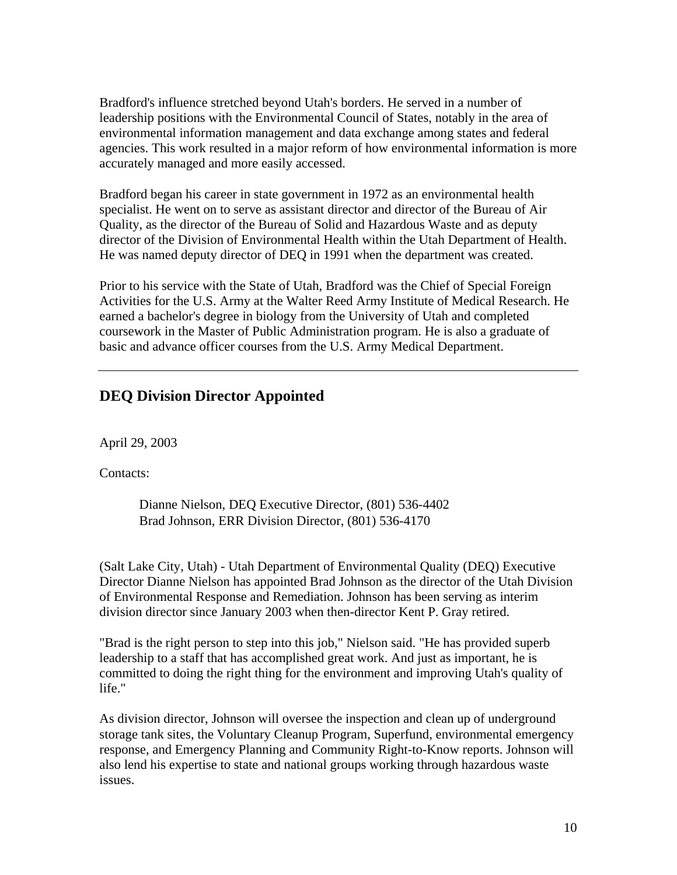Bradford's influence stretched beyond Utah's borders. He served in a number of leadership positions with the Environmental Council of States, notably in the area of environmental information management and data exchange among states and federal agencies. This work resulted in a major reform of how environmental information is more accurately managed and more easily accessed.

Bradford began his career in state government in 1972 as an environmental health specialist. He went on to serve as assistant director and director of the Bureau of Air Quality, as the director of the Bureau of Solid and Hazardous Waste and as deputy director of the Division of Environmental Health within the Utah Department of Health. He was named deputy director of DEQ in 1991 when the department was created.

Prior to his service with the State of Utah, Bradford was the Chief of Special Foreign Activities for the U.S. Army at the Walter Reed Army Institute of Medical Research. He earned a bachelor's degree in biology from the University of Utah and completed coursework in the Master of Public Administration program. He is also a graduate of basic and advance officer courses from the U.S. Army Medical Department.

## **DEQ Division Director Appointed**

April 29, 2003

Contacts:

Dianne Nielson, DEQ Executive Director, (801) 536-4402 Brad Johnson, ERR Division Director, (801) 536-4170

(Salt Lake City, Utah) - Utah Department of Environmental Quality (DEQ) Executive Director Dianne Nielson has appointed Brad Johnson as the director of the Utah Division of Environmental Response and Remediation. Johnson has been serving as interim division director since January 2003 when then-director Kent P. Gray retired.

"Brad is the right person to step into this job," Nielson said. "He has provided superb leadership to a staff that has accomplished great work. And just as important, he is committed to doing the right thing for the environment and improving Utah's quality of life."

As division director, Johnson will oversee the inspection and clean up of underground storage tank sites, the Voluntary Cleanup Program, Superfund, environmental emergency response, and Emergency Planning and Community Right-to-Know reports. Johnson will also lend his expertise to state and national groups working through hazardous waste issues.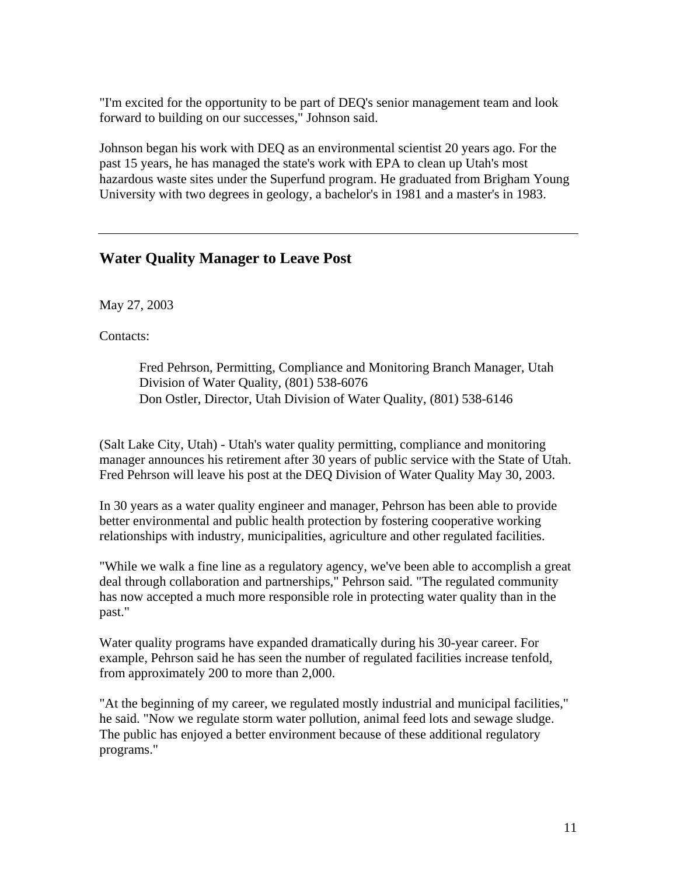"I'm excited for the opportunity to be part of DEQ's senior management team and look forward to building on our successes," Johnson said.

Johnson began his work with DEQ as an environmental scientist 20 years ago. For the past 15 years, he has managed the state's work with EPA to clean up Utah's most hazardous waste sites under the Superfund program. He graduated from Brigham Young University with two degrees in geology, a bachelor's in 1981 and a master's in 1983.

#### **Water Quality Manager to Leave Post**

May 27, 2003

Contacts:

Fred Pehrson, Permitting, Compliance and Monitoring Branch Manager, Utah Division of Water Quality, (801) 538-6076 Don Ostler, Director, Utah Division of Water Quality, (801) 538-6146

(Salt Lake City, Utah) - Utah's water quality permitting, compliance and monitoring manager announces his retirement after 30 years of public service with the State of Utah. Fred Pehrson will leave his post at the DEQ Division of Water Quality May 30, 2003.

In 30 years as a water quality engineer and manager, Pehrson has been able to provide better environmental and public health protection by fostering cooperative working relationships with industry, municipalities, agriculture and other regulated facilities.

"While we walk a fine line as a regulatory agency, we've been able to accomplish a great deal through collaboration and partnerships," Pehrson said. "The regulated community has now accepted a much more responsible role in protecting water quality than in the past."

Water quality programs have expanded dramatically during his 30-year career. For example, Pehrson said he has seen the number of regulated facilities increase tenfold, from approximately 200 to more than 2,000.

"At the beginning of my career, we regulated mostly industrial and municipal facilities," he said. "Now we regulate storm water pollution, animal feed lots and sewage sludge. The public has enjoyed a better environment because of these additional regulatory programs."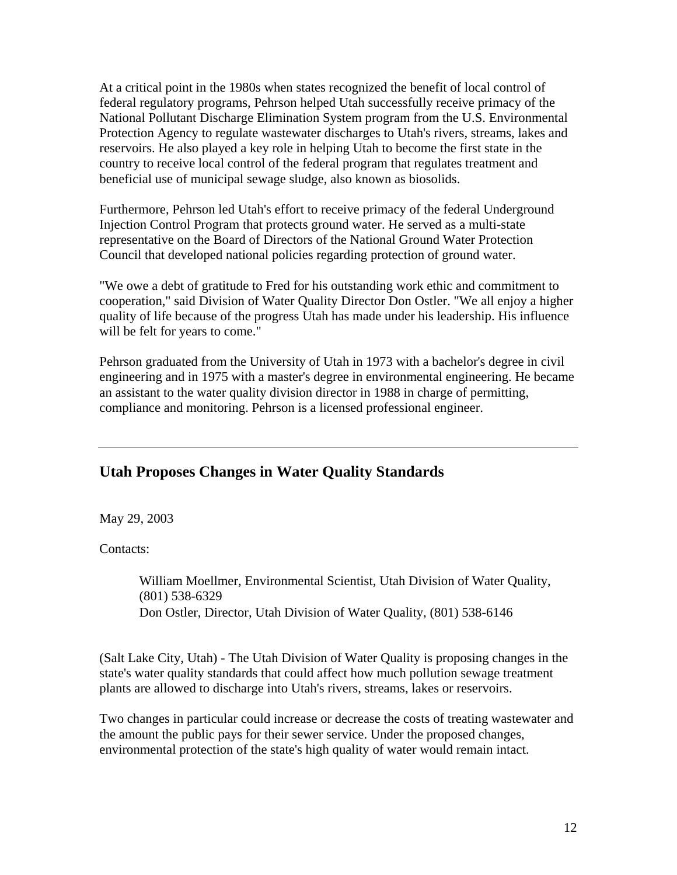At a critical point in the 1980s when states recognized the benefit of local control of federal regulatory programs, Pehrson helped Utah successfully receive primacy of the National Pollutant Discharge Elimination System program from the U.S. Environmental Protection Agency to regulate wastewater discharges to Utah's rivers, streams, lakes and reservoirs. He also played a key role in helping Utah to become the first state in the country to receive local control of the federal program that regulates treatment and beneficial use of municipal sewage sludge, also known as biosolids.

Furthermore, Pehrson led Utah's effort to receive primacy of the federal Underground Injection Control Program that protects ground water. He served as a multi-state representative on the Board of Directors of the National Ground Water Protection Council that developed national policies regarding protection of ground water.

"We owe a debt of gratitude to Fred for his outstanding work ethic and commitment to cooperation," said Division of Water Quality Director Don Ostler. "We all enjoy a higher quality of life because of the progress Utah has made under his leadership. His influence will be felt for years to come."

Pehrson graduated from the University of Utah in 1973 with a bachelor's degree in civil engineering and in 1975 with a master's degree in environmental engineering. He became an assistant to the water quality division director in 1988 in charge of permitting, compliance and monitoring. Pehrson is a licensed professional engineer.

### **Utah Proposes Changes in Water Quality Standards**

May 29, 2003

Contacts:

William Moellmer, Environmental Scientist, Utah Division of Water Quality, (801) 538-6329 Don Ostler, Director, Utah Division of Water Quality, (801) 538-6146

(Salt Lake City, Utah) - The Utah Division of Water Quality is proposing changes in the state's water quality standards that could affect how much pollution sewage treatment plants are allowed to discharge into Utah's rivers, streams, lakes or reservoirs.

Two changes in particular could increase or decrease the costs of treating wastewater and the amount the public pays for their sewer service. Under the proposed changes, environmental protection of the state's high quality of water would remain intact.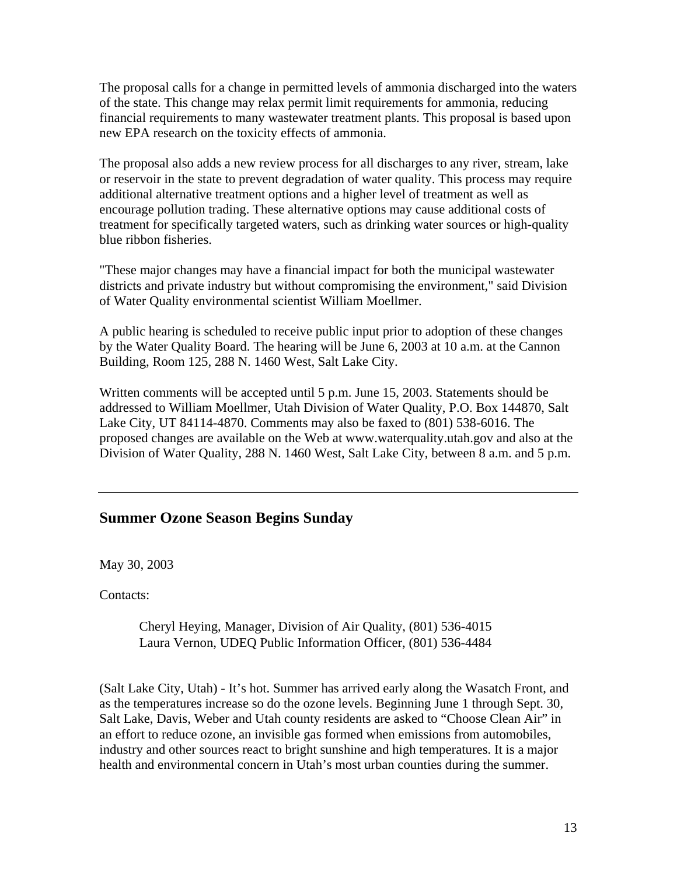The proposal calls for a change in permitted levels of ammonia discharged into the waters of the state. This change may relax permit limit requirements for ammonia, reducing financial requirements to many wastewater treatment plants. This proposal is based upon new EPA research on the toxicity effects of ammonia.

The proposal also adds a new review process for all discharges to any river, stream, lake or reservoir in the state to prevent degradation of water quality. This process may require additional alternative treatment options and a higher level of treatment as well as encourage pollution trading. These alternative options may cause additional costs of treatment for specifically targeted waters, such as drinking water sources or high-quality blue ribbon fisheries.

"These major changes may have a financial impact for both the municipal wastewater districts and private industry but without compromising the environment," said Division of Water Quality environmental scientist William Moellmer.

A public hearing is scheduled to receive public input prior to adoption of these changes by the Water Quality Board. The hearing will be June 6, 2003 at 10 a.m. at the Cannon Building, Room 125, 288 N. 1460 West, Salt Lake City.

Written comments will be accepted until 5 p.m. June 15, 2003. Statements should be addressed to William Moellmer, Utah Division of Water Quality, P.O. Box 144870, Salt Lake City, UT 84114-4870. Comments may also be faxed to (801) 538-6016. The proposed changes are available on the Web at www.waterquality.utah.gov and also at the Division of Water Quality, 288 N. 1460 West, Salt Lake City, between 8 a.m. and 5 p.m.

#### **Summer Ozone Season Begins Sunday**

May 30, 2003

Contacts:

Cheryl Heying, Manager, Division of Air Quality, (801) 536-4015 Laura Vernon, UDEQ Public Information Officer, (801) 536-4484

(Salt Lake City, Utah) - It's hot. Summer has arrived early along the Wasatch Front, and as the temperatures increase so do the ozone levels. Beginning June 1 through Sept. 30, Salt Lake, Davis, Weber and Utah county residents are asked to "Choose Clean Air" in an effort to reduce ozone, an invisible gas formed when emissions from automobiles, industry and other sources react to bright sunshine and high temperatures. It is a major health and environmental concern in Utah's most urban counties during the summer.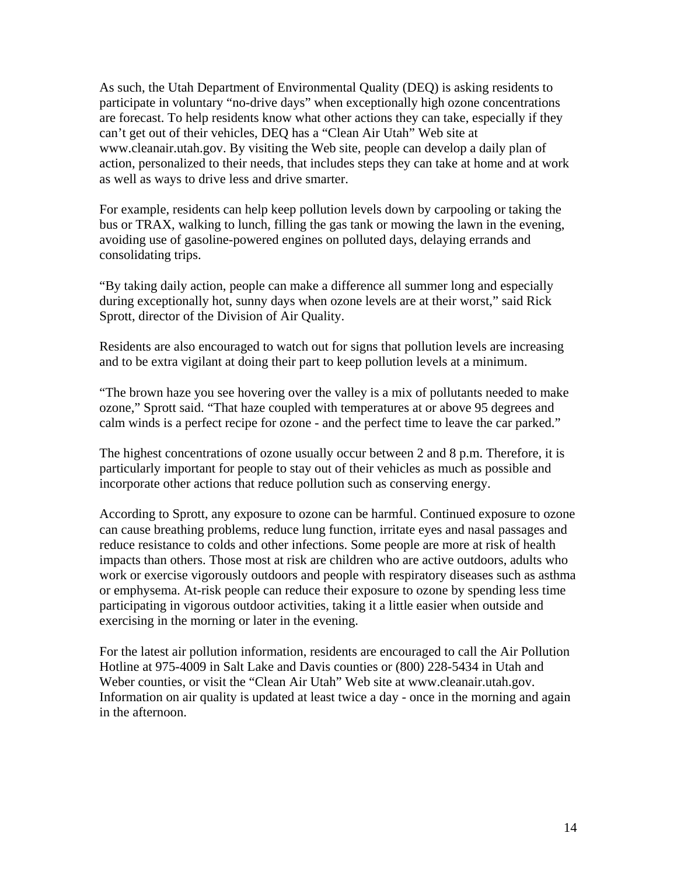As such, the Utah Department of Environmental Quality (DEQ) is asking residents to participate in voluntary "no-drive days" when exceptionally high ozone concentrations are forecast. To help residents know what other actions they can take, especially if they can't get out of their vehicles, DEQ has a "Clean Air Utah" Web site at www.cleanair.utah.gov. By visiting the Web site, people can develop a daily plan of action, personalized to their needs, that includes steps they can take at home and at work as well as ways to drive less and drive smarter.

For example, residents can help keep pollution levels down by carpooling or taking the bus or TRAX, walking to lunch, filling the gas tank or mowing the lawn in the evening, avoiding use of gasoline-powered engines on polluted days, delaying errands and consolidating trips.

"By taking daily action, people can make a difference all summer long and especially during exceptionally hot, sunny days when ozone levels are at their worst," said Rick Sprott, director of the Division of Air Quality.

Residents are also encouraged to watch out for signs that pollution levels are increasing and to be extra vigilant at doing their part to keep pollution levels at a minimum.

"The brown haze you see hovering over the valley is a mix of pollutants needed to make ozone," Sprott said. "That haze coupled with temperatures at or above 95 degrees and calm winds is a perfect recipe for ozone - and the perfect time to leave the car parked."

The highest concentrations of ozone usually occur between 2 and 8 p.m. Therefore, it is particularly important for people to stay out of their vehicles as much as possible and incorporate other actions that reduce pollution such as conserving energy.

According to Sprott, any exposure to ozone can be harmful. Continued exposure to ozone can cause breathing problems, reduce lung function, irritate eyes and nasal passages and reduce resistance to colds and other infections. Some people are more at risk of health impacts than others. Those most at risk are children who are active outdoors, adults who work or exercise vigorously outdoors and people with respiratory diseases such as asthma or emphysema. At-risk people can reduce their exposure to ozone by spending less time participating in vigorous outdoor activities, taking it a little easier when outside and exercising in the morning or later in the evening.

For the latest air pollution information, residents are encouraged to call the Air Pollution Hotline at 975-4009 in Salt Lake and Davis counties or (800) 228-5434 in Utah and Weber counties, or visit the "Clean Air Utah" Web site at www.cleanair.utah.gov. Information on air quality is updated at least twice a day - once in the morning and again in the afternoon.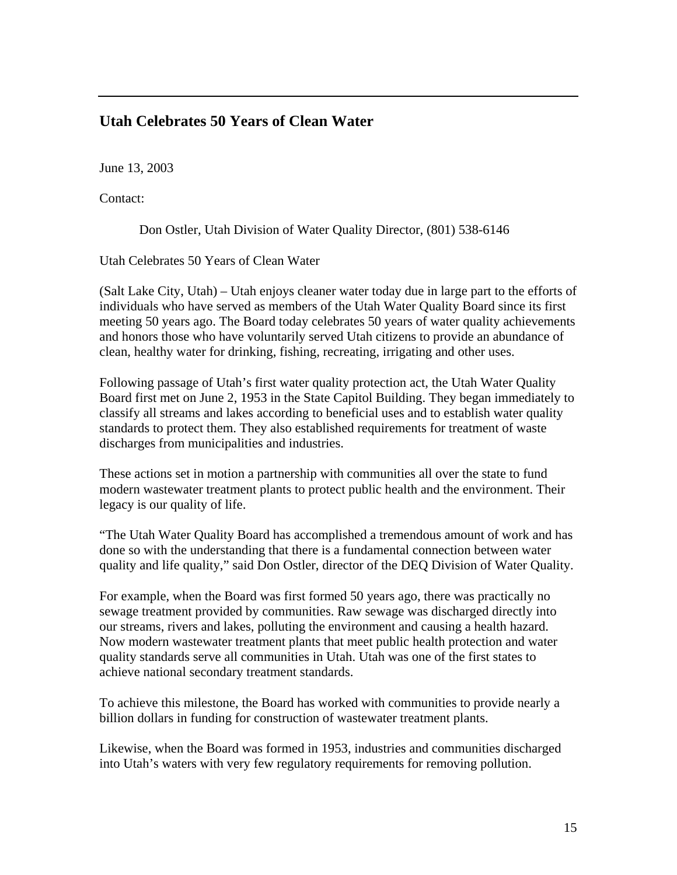### **Utah Celebrates 50 Years of Clean Water**

June 13, 2003

Contact:

Don Ostler, Utah Division of Water Quality Director, (801) 538-6146

Utah Celebrates 50 Years of Clean Water

(Salt Lake City, Utah) – Utah enjoys cleaner water today due in large part to the efforts of individuals who have served as members of the Utah Water Quality Board since its first meeting 50 years ago. The Board today celebrates 50 years of water quality achievements and honors those who have voluntarily served Utah citizens to provide an abundance of clean, healthy water for drinking, fishing, recreating, irrigating and other uses.

Following passage of Utah's first water quality protection act, the Utah Water Quality Board first met on June 2, 1953 in the State Capitol Building. They began immediately to classify all streams and lakes according to beneficial uses and to establish water quality standards to protect them. They also established requirements for treatment of waste discharges from municipalities and industries.

These actions set in motion a partnership with communities all over the state to fund modern wastewater treatment plants to protect public health and the environment. Their legacy is our quality of life.

"The Utah Water Quality Board has accomplished a tremendous amount of work and has done so with the understanding that there is a fundamental connection between water quality and life quality," said Don Ostler, director of the DEQ Division of Water Quality.

For example, when the Board was first formed 50 years ago, there was practically no sewage treatment provided by communities. Raw sewage was discharged directly into our streams, rivers and lakes, polluting the environment and causing a health hazard. Now modern wastewater treatment plants that meet public health protection and water quality standards serve all communities in Utah. Utah was one of the first states to achieve national secondary treatment standards.

To achieve this milestone, the Board has worked with communities to provide nearly a billion dollars in funding for construction of wastewater treatment plants.

Likewise, when the Board was formed in 1953, industries and communities discharged into Utah's waters with very few regulatory requirements for removing pollution.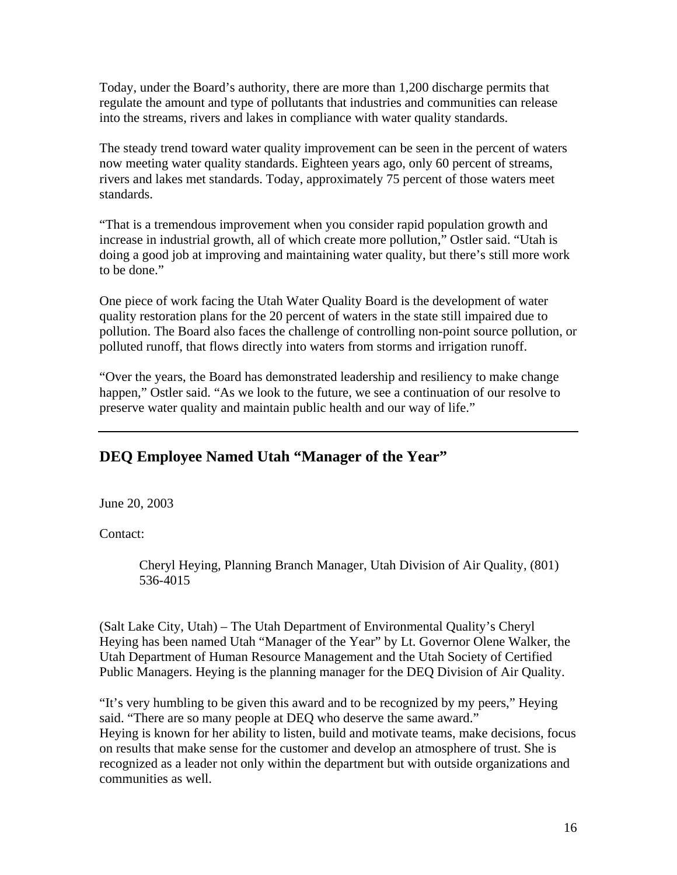Today, under the Board's authority, there are more than 1,200 discharge permits that regulate the amount and type of pollutants that industries and communities can release into the streams, rivers and lakes in compliance with water quality standards.

The steady trend toward water quality improvement can be seen in the percent of waters now meeting water quality standards. Eighteen years ago, only 60 percent of streams, rivers and lakes met standards. Today, approximately 75 percent of those waters meet standards.

"That is a tremendous improvement when you consider rapid population growth and increase in industrial growth, all of which create more pollution," Ostler said. "Utah is doing a good job at improving and maintaining water quality, but there's still more work to be done."

One piece of work facing the Utah Water Quality Board is the development of water quality restoration plans for the 20 percent of waters in the state still impaired due to pollution. The Board also faces the challenge of controlling non-point source pollution, or polluted runoff, that flows directly into waters from storms and irrigation runoff.

"Over the years, the Board has demonstrated leadership and resiliency to make change happen," Ostler said. "As we look to the future, we see a continuation of our resolve to preserve water quality and maintain public health and our way of life."

### **DEQ Employee Named Utah "Manager of the Year"**

June 20, 2003

Contact:

Cheryl Heying, Planning Branch Manager, Utah Division of Air Quality, (801) 536-4015

(Salt Lake City, Utah) – The Utah Department of Environmental Quality's Cheryl Heying has been named Utah "Manager of the Year" by Lt. Governor Olene Walker, the Utah Department of Human Resource Management and the Utah Society of Certified Public Managers. Heying is the planning manager for the DEQ Division of Air Quality.

"It's very humbling to be given this award and to be recognized by my peers," Heying said. "There are so many people at DEQ who deserve the same award." Heying is known for her ability to listen, build and motivate teams, make decisions, focus on results that make sense for the customer and develop an atmosphere of trust. She is recognized as a leader not only within the department but with outside organizations and communities as well.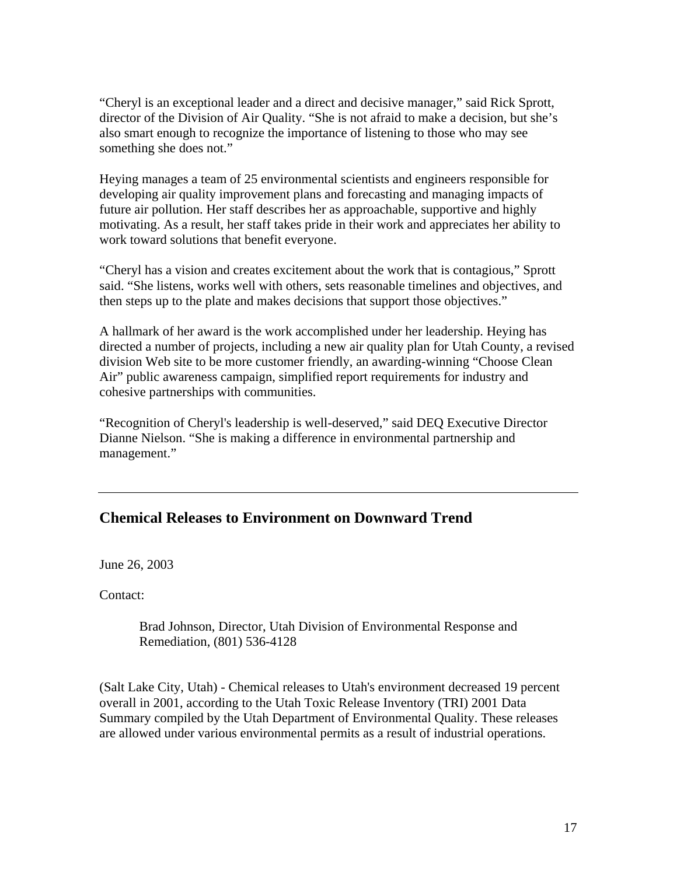"Cheryl is an exceptional leader and a direct and decisive manager," said Rick Sprott, director of the Division of Air Quality. "She is not afraid to make a decision, but she's also smart enough to recognize the importance of listening to those who may see something she does not."

Heying manages a team of 25 environmental scientists and engineers responsible for developing air quality improvement plans and forecasting and managing impacts of future air pollution. Her staff describes her as approachable, supportive and highly motivating. As a result, her staff takes pride in their work and appreciates her ability to work toward solutions that benefit everyone.

"Cheryl has a vision and creates excitement about the work that is contagious," Sprott said. "She listens, works well with others, sets reasonable timelines and objectives, and then steps up to the plate and makes decisions that support those objectives."

A hallmark of her award is the work accomplished under her leadership. Heying has directed a number of projects, including a new air quality plan for Utah County, a revised division Web site to be more customer friendly, an awarding-winning "Choose Clean Air" public awareness campaign, simplified report requirements for industry and cohesive partnerships with communities.

"Recognition of Cheryl's leadership is well-deserved," said DEQ Executive Director Dianne Nielson. "She is making a difference in environmental partnership and management."

### **Chemical Releases to Environment on Downward Trend**

June 26, 2003

Contact:

Brad Johnson, Director, Utah Division of Environmental Response and Remediation, (801) 536-4128

(Salt Lake City, Utah) - Chemical releases to Utah's environment decreased 19 percent overall in 2001, according to the Utah Toxic Release Inventory (TRI) 2001 Data Summary compiled by the Utah Department of Environmental Quality. These releases are allowed under various environmental permits as a result of industrial operations.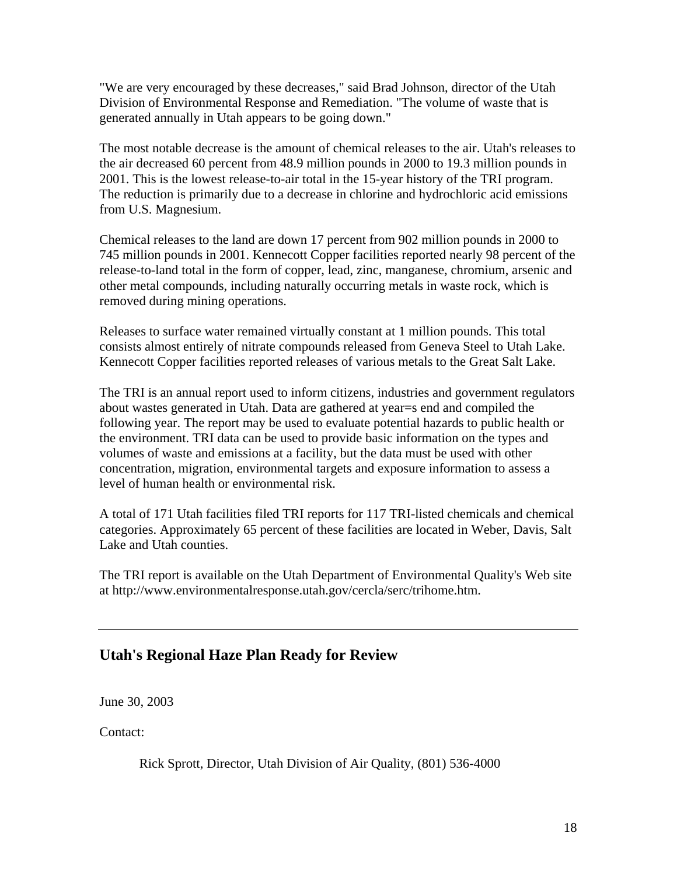"We are very encouraged by these decreases," said Brad Johnson, director of the Utah Division of Environmental Response and Remediation. "The volume of waste that is generated annually in Utah appears to be going down."

The most notable decrease is the amount of chemical releases to the air. Utah's releases to the air decreased 60 percent from 48.9 million pounds in 2000 to 19.3 million pounds in 2001. This is the lowest release-to-air total in the 15-year history of the TRI program. The reduction is primarily due to a decrease in chlorine and hydrochloric acid emissions from U.S. Magnesium.

Chemical releases to the land are down 17 percent from 902 million pounds in 2000 to 745 million pounds in 2001. Kennecott Copper facilities reported nearly 98 percent of the release-to-land total in the form of copper, lead, zinc, manganese, chromium, arsenic and other metal compounds, including naturally occurring metals in waste rock, which is removed during mining operations.

Releases to surface water remained virtually constant at 1 million pounds. This total consists almost entirely of nitrate compounds released from Geneva Steel to Utah Lake. Kennecott Copper facilities reported releases of various metals to the Great Salt Lake.

The TRI is an annual report used to inform citizens, industries and government regulators about wastes generated in Utah. Data are gathered at year=s end and compiled the following year. The report may be used to evaluate potential hazards to public health or the environment. TRI data can be used to provide basic information on the types and volumes of waste and emissions at a facility, but the data must be used with other concentration, migration, environmental targets and exposure information to assess a level of human health or environmental risk.

A total of 171 Utah facilities filed TRI reports for 117 TRI-listed chemicals and chemical categories. Approximately 65 percent of these facilities are located in Weber, Davis, Salt Lake and Utah counties.

The TRI report is available on the Utah Department of Environmental Quality's Web site at http://www.environmentalresponse.utah.gov/cercla/serc/trihome.htm.

### **Utah's Regional Haze Plan Ready for Review**

June 30, 2003

Contact:

Rick Sprott, Director, Utah Division of Air Quality, (801) 536-4000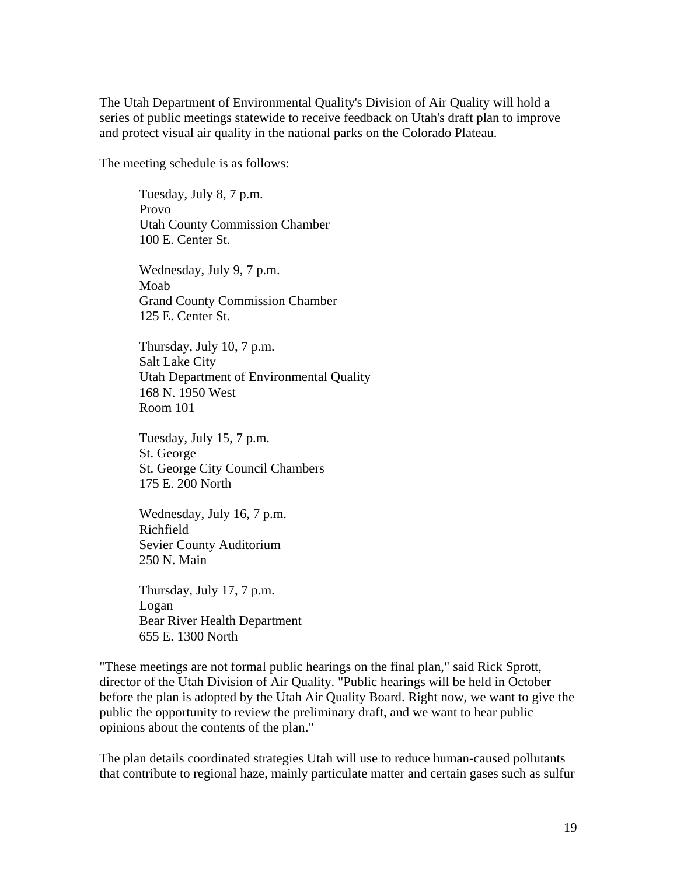The Utah Department of Environmental Quality's Division of Air Quality will hold a series of public meetings statewide to receive feedback on Utah's draft plan to improve and protect visual air quality in the national parks on the Colorado Plateau.

The meeting schedule is as follows:

Tuesday, July 8, 7 p.m. Provo Utah County Commission Chamber 100 E. Center St.

Wednesday, July 9, 7 p.m. Moab Grand County Commission Chamber 125 E. Center St.

Thursday, July 10, 7 p.m. Salt Lake City Utah Department of Environmental Quality 168 N. 1950 West Room 101

Tuesday, July 15, 7 p.m. St. George St. George City Council Chambers 175 E. 200 North

Wednesday, July 16, 7 p.m. Richfield Sevier County Auditorium 250 N. Main

Thursday, July 17, 7 p.m. Logan Bear River Health Department 655 E. 1300 North

"These meetings are not formal public hearings on the final plan," said Rick Sprott, director of the Utah Division of Air Quality. "Public hearings will be held in October before the plan is adopted by the Utah Air Quality Board. Right now, we want to give the public the opportunity to review the preliminary draft, and we want to hear public opinions about the contents of the plan."

The plan details coordinated strategies Utah will use to reduce human-caused pollutants that contribute to regional haze, mainly particulate matter and certain gases such as sulfur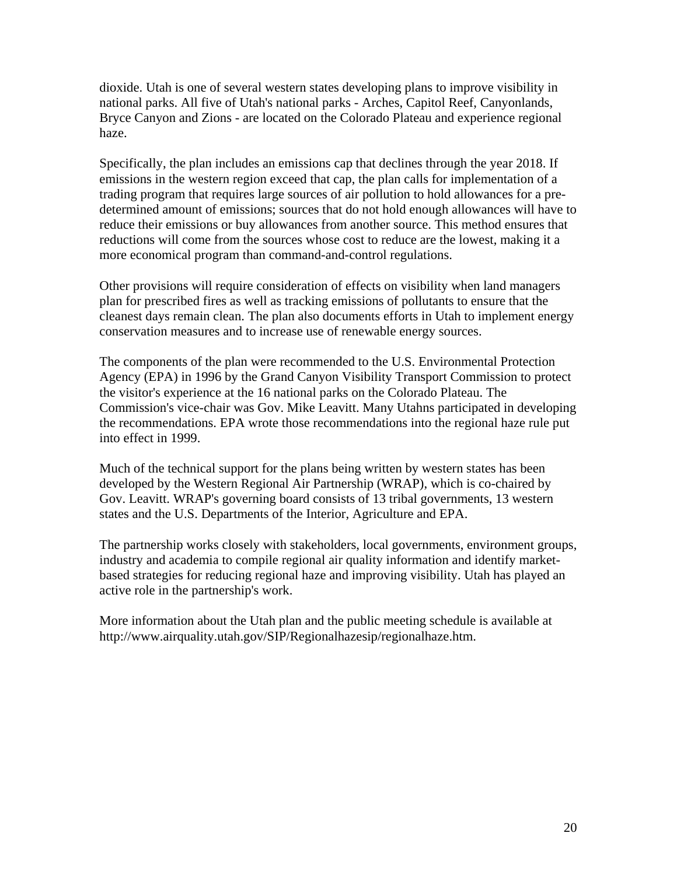dioxide. Utah is one of several western states developing plans to improve visibility in national parks. All five of Utah's national parks - Arches, Capitol Reef, Canyonlands, Bryce Canyon and Zions - are located on the Colorado Plateau and experience regional haze.

Specifically, the plan includes an emissions cap that declines through the year 2018. If emissions in the western region exceed that cap, the plan calls for implementation of a trading program that requires large sources of air pollution to hold allowances for a predetermined amount of emissions; sources that do not hold enough allowances will have to reduce their emissions or buy allowances from another source. This method ensures that reductions will come from the sources whose cost to reduce are the lowest, making it a more economical program than command-and-control regulations.

Other provisions will require consideration of effects on visibility when land managers plan for prescribed fires as well as tracking emissions of pollutants to ensure that the cleanest days remain clean. The plan also documents efforts in Utah to implement energy conservation measures and to increase use of renewable energy sources.

The components of the plan were recommended to the U.S. Environmental Protection Agency (EPA) in 1996 by the Grand Canyon Visibility Transport Commission to protect the visitor's experience at the 16 national parks on the Colorado Plateau. The Commission's vice-chair was Gov. Mike Leavitt. Many Utahns participated in developing the recommendations. EPA wrote those recommendations into the regional haze rule put into effect in 1999.

Much of the technical support for the plans being written by western states has been developed by the Western Regional Air Partnership (WRAP), which is co-chaired by Gov. Leavitt. WRAP's governing board consists of 13 tribal governments, 13 western states and the U.S. Departments of the Interior, Agriculture and EPA.

The partnership works closely with stakeholders, local governments, environment groups, industry and academia to compile regional air quality information and identify marketbased strategies for reducing regional haze and improving visibility. Utah has played an active role in the partnership's work.

More information about the Utah plan and the public meeting schedule is available at http://www.airquality.utah.gov/SIP/Regionalhazesip/regionalhaze.htm.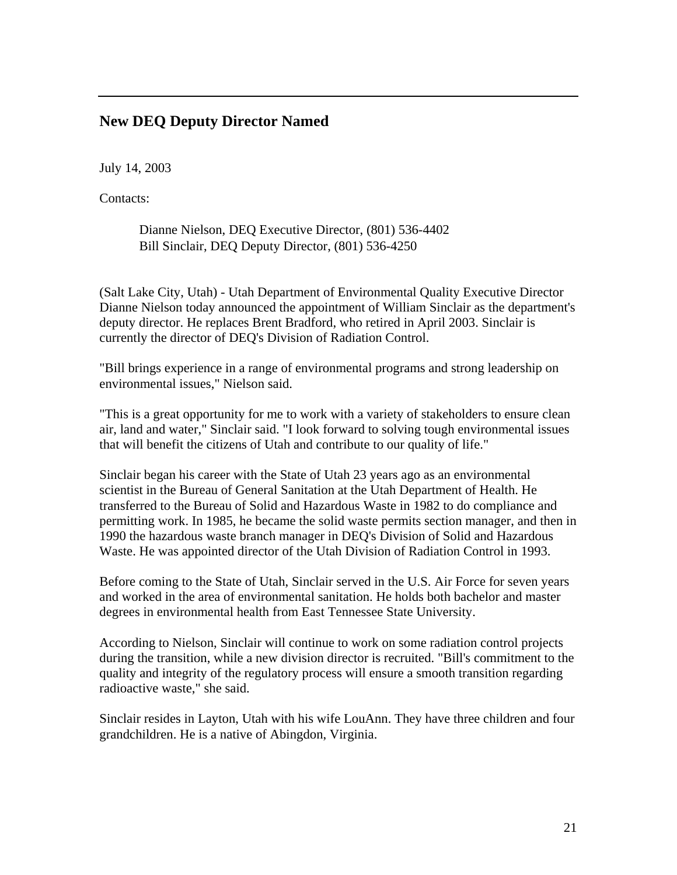#### **New DEQ Deputy Director Named**

July 14, 2003

Contacts:

Dianne Nielson, DEQ Executive Director, (801) 536-4402 Bill Sinclair, DEQ Deputy Director, (801) 536-4250

(Salt Lake City, Utah) - Utah Department of Environmental Quality Executive Director Dianne Nielson today announced the appointment of William Sinclair as the department's deputy director. He replaces Brent Bradford, who retired in April 2003. Sinclair is currently the director of DEQ's Division of Radiation Control.

"Bill brings experience in a range of environmental programs and strong leadership on environmental issues," Nielson said.

"This is a great opportunity for me to work with a variety of stakeholders to ensure clean air, land and water," Sinclair said. "I look forward to solving tough environmental issues that will benefit the citizens of Utah and contribute to our quality of life."

Sinclair began his career with the State of Utah 23 years ago as an environmental scientist in the Bureau of General Sanitation at the Utah Department of Health. He transferred to the Bureau of Solid and Hazardous Waste in 1982 to do compliance and permitting work. In 1985, he became the solid waste permits section manager, and then in 1990 the hazardous waste branch manager in DEQ's Division of Solid and Hazardous Waste. He was appointed director of the Utah Division of Radiation Control in 1993.

Before coming to the State of Utah, Sinclair served in the U.S. Air Force for seven years and worked in the area of environmental sanitation. He holds both bachelor and master degrees in environmental health from East Tennessee State University.

According to Nielson, Sinclair will continue to work on some radiation control projects during the transition, while a new division director is recruited. "Bill's commitment to the quality and integrity of the regulatory process will ensure a smooth transition regarding radioactive waste," she said.

Sinclair resides in Layton, Utah with his wife LouAnn. They have three children and four grandchildren. He is a native of Abingdon, Virginia.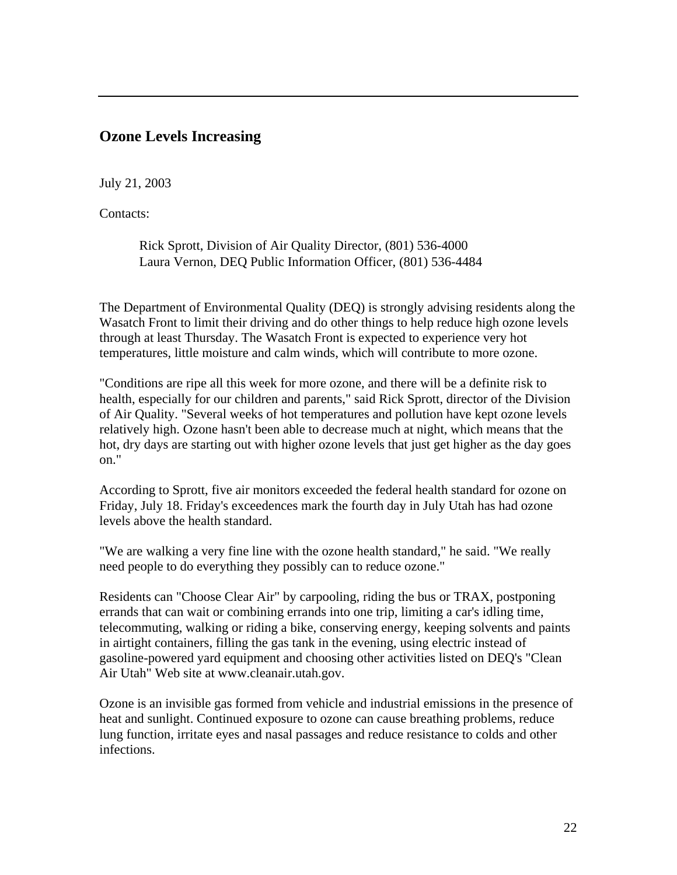### **Ozone Levels Increasing**

July 21, 2003

Contacts:

Rick Sprott, Division of Air Quality Director, (801) 536-4000 Laura Vernon, DEQ Public Information Officer, (801) 536-4484

The Department of Environmental Quality (DEQ) is strongly advising residents along the Wasatch Front to limit their driving and do other things to help reduce high ozone levels through at least Thursday. The Wasatch Front is expected to experience very hot temperatures, little moisture and calm winds, which will contribute to more ozone.

"Conditions are ripe all this week for more ozone, and there will be a definite risk to health, especially for our children and parents," said Rick Sprott, director of the Division of Air Quality. "Several weeks of hot temperatures and pollution have kept ozone levels relatively high. Ozone hasn't been able to decrease much at night, which means that the hot, dry days are starting out with higher ozone levels that just get higher as the day goes on."

According to Sprott, five air monitors exceeded the federal health standard for ozone on Friday, July 18. Friday's exceedences mark the fourth day in July Utah has had ozone levels above the health standard.

"We are walking a very fine line with the ozone health standard," he said. "We really need people to do everything they possibly can to reduce ozone."

Residents can "Choose Clear Air" by carpooling, riding the bus or TRAX, postponing errands that can wait or combining errands into one trip, limiting a car's idling time, telecommuting, walking or riding a bike, conserving energy, keeping solvents and paints in airtight containers, filling the gas tank in the evening, using electric instead of gasoline-powered yard equipment and choosing other activities listed on DEQ's "Clean Air Utah" Web site at www.cleanair.utah.gov.

Ozone is an invisible gas formed from vehicle and industrial emissions in the presence of heat and sunlight. Continued exposure to ozone can cause breathing problems, reduce lung function, irritate eyes and nasal passages and reduce resistance to colds and other infections.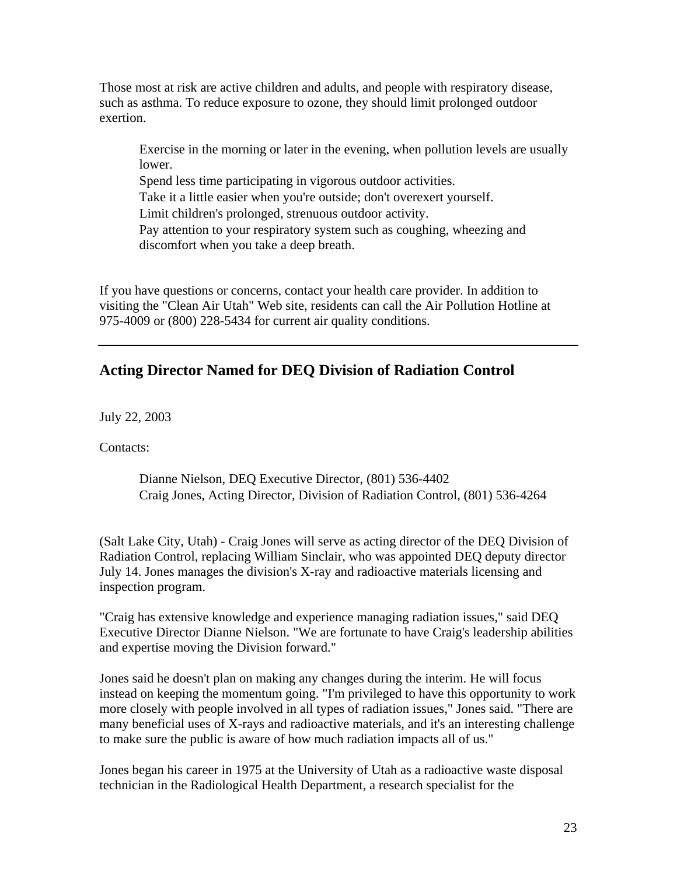Those most at risk are active children and adults, and people with respiratory disease, such as asthma. To reduce exposure to ozone, they should limit prolonged outdoor exertion.

Exercise in the morning or later in the evening, when pollution levels are usually lower.

Spend less time participating in vigorous outdoor activities.

Take it a little easier when you're outside; don't overexert yourself.

Limit children's prolonged, strenuous outdoor activity.

Pay attention to your respiratory system such as coughing, wheezing and discomfort when you take a deep breath.

If you have questions or concerns, contact your health care provider. In addition to visiting the "Clean Air Utah" Web site, residents can call the Air Pollution Hotline at 975-4009 or (800) 228-5434 for current air quality conditions.

# **Acting Director Named for DEQ Division of Radiation Control**

July 22, 2003

Contacts:

Dianne Nielson, DEQ Executive Director, (801) 536-4402 Craig Jones, Acting Director, Division of Radiation Control, (801) 536-4264

(Salt Lake City, Utah) - Craig Jones will serve as acting director of the DEQ Division of Radiation Control, replacing William Sinclair, who was appointed DEQ deputy director July 14. Jones manages the division's X-ray and radioactive materials licensing and inspection program.

"Craig has extensive knowledge and experience managing radiation issues," said DEQ Executive Director Dianne Nielson. "We are fortunate to have Craig's leadership abilities and expertise moving the Division forward."

Jones said he doesn't plan on making any changes during the interim. He will focus instead on keeping the momentum going. "I'm privileged to have this opportunity to work more closely with people involved in all types of radiation issues," Jones said. "There are many beneficial uses of X-rays and radioactive materials, and it's an interesting challenge to make sure the public is aware of how much radiation impacts all of us."

Jones began his career in 1975 at the University of Utah as a radioactive waste disposal technician in the Radiological Health Department, a research specialist for the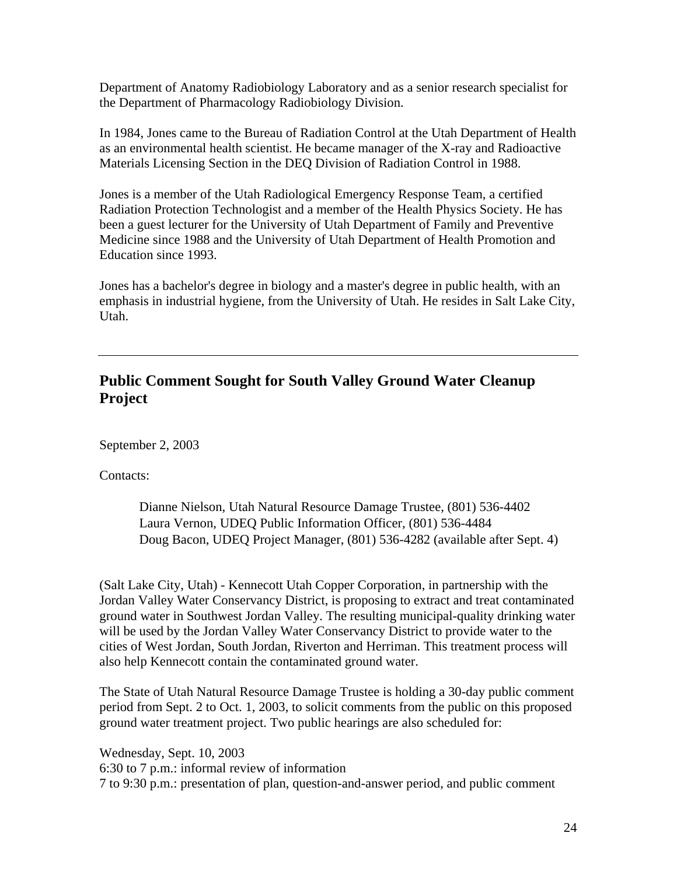Department of Anatomy Radiobiology Laboratory and as a senior research specialist for the Department of Pharmacology Radiobiology Division.

In 1984, Jones came to the Bureau of Radiation Control at the Utah Department of Health as an environmental health scientist. He became manager of the X-ray and Radioactive Materials Licensing Section in the DEQ Division of Radiation Control in 1988.

Jones is a member of the Utah Radiological Emergency Response Team, a certified Radiation Protection Technologist and a member of the Health Physics Society. He has been a guest lecturer for the University of Utah Department of Family and Preventive Medicine since 1988 and the University of Utah Department of Health Promotion and Education since 1993.

Jones has a bachelor's degree in biology and a master's degree in public health, with an emphasis in industrial hygiene, from the University of Utah. He resides in Salt Lake City, Utah.

# **Public Comment Sought for South Valley Ground Water Cleanup Project**

September 2, 2003

Contacts:

Dianne Nielson, Utah Natural Resource Damage Trustee, (801) 536-4402 Laura Vernon, UDEQ Public Information Officer, (801) 536-4484 Doug Bacon, UDEQ Project Manager, (801) 536-4282 (available after Sept. 4)

(Salt Lake City, Utah) - Kennecott Utah Copper Corporation, in partnership with the Jordan Valley Water Conservancy District, is proposing to extract and treat contaminated ground water in Southwest Jordan Valley. The resulting municipal-quality drinking water will be used by the Jordan Valley Water Conservancy District to provide water to the cities of West Jordan, South Jordan, Riverton and Herriman. This treatment process will also help Kennecott contain the contaminated ground water.

The State of Utah Natural Resource Damage Trustee is holding a 30-day public comment period from Sept. 2 to Oct. 1, 2003, to solicit comments from the public on this proposed ground water treatment project. Two public hearings are also scheduled for:

Wednesday, Sept. 10, 2003 6:30 to 7 p.m.: informal review of information 7 to 9:30 p.m.: presentation of plan, question-and-answer period, and public comment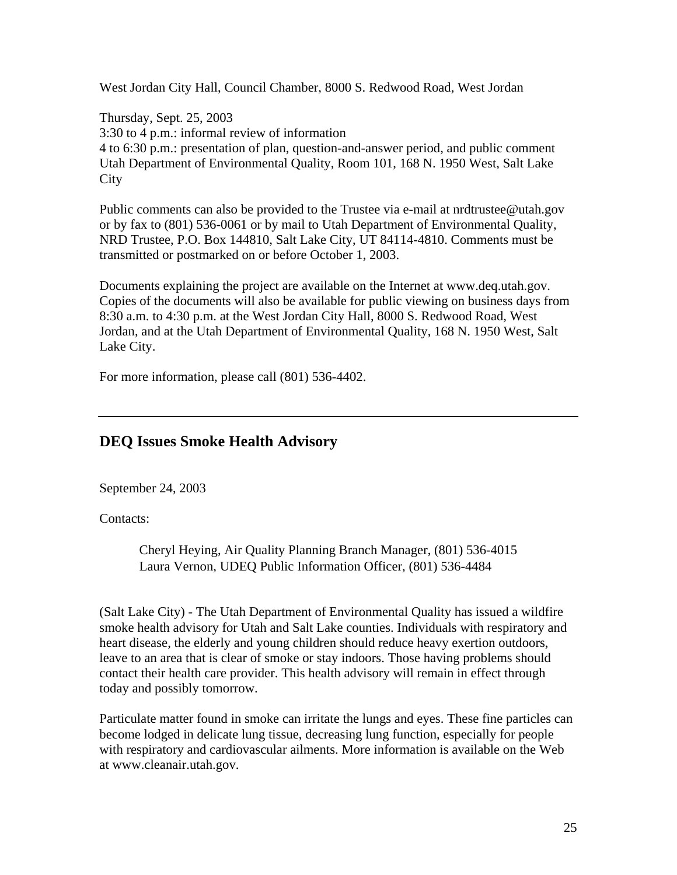West Jordan City Hall, Council Chamber, 8000 S. Redwood Road, West Jordan

Thursday, Sept. 25, 2003 3:30 to 4 p.m.: informal review of information 4 to 6:30 p.m.: presentation of plan, question-and-answer period, and public comment Utah Department of Environmental Quality, Room 101, 168 N. 1950 West, Salt Lake **City** 

Public comments can also be provided to the Trustee via e-mail at nrdtrustee@utah.gov or by fax to (801) 536-0061 or by mail to Utah Department of Environmental Quality, NRD Trustee, P.O. Box 144810, Salt Lake City, UT 84114-4810. Comments must be transmitted or postmarked on or before October 1, 2003.

Documents explaining the project are available on the Internet at www.deq.utah.gov. Copies of the documents will also be available for public viewing on business days from 8:30 a.m. to 4:30 p.m. at the West Jordan City Hall, 8000 S. Redwood Road, West Jordan, and at the Utah Department of Environmental Quality, 168 N. 1950 West, Salt Lake City.

For more information, please call (801) 536-4402.

### **DEQ Issues Smoke Health Advisory**

September 24, 2003

Contacts:

Cheryl Heying, Air Quality Planning Branch Manager, (801) 536-4015 Laura Vernon, UDEQ Public Information Officer, (801) 536-4484

(Salt Lake City) - The Utah Department of Environmental Quality has issued a wildfire smoke health advisory for Utah and Salt Lake counties. Individuals with respiratory and heart disease, the elderly and young children should reduce heavy exertion outdoors, leave to an area that is clear of smoke or stay indoors. Those having problems should contact their health care provider. This health advisory will remain in effect through today and possibly tomorrow.

Particulate matter found in smoke can irritate the lungs and eyes. These fine particles can become lodged in delicate lung tissue, decreasing lung function, especially for people with respiratory and cardiovascular ailments. More information is available on the Web at www.cleanair.utah.gov.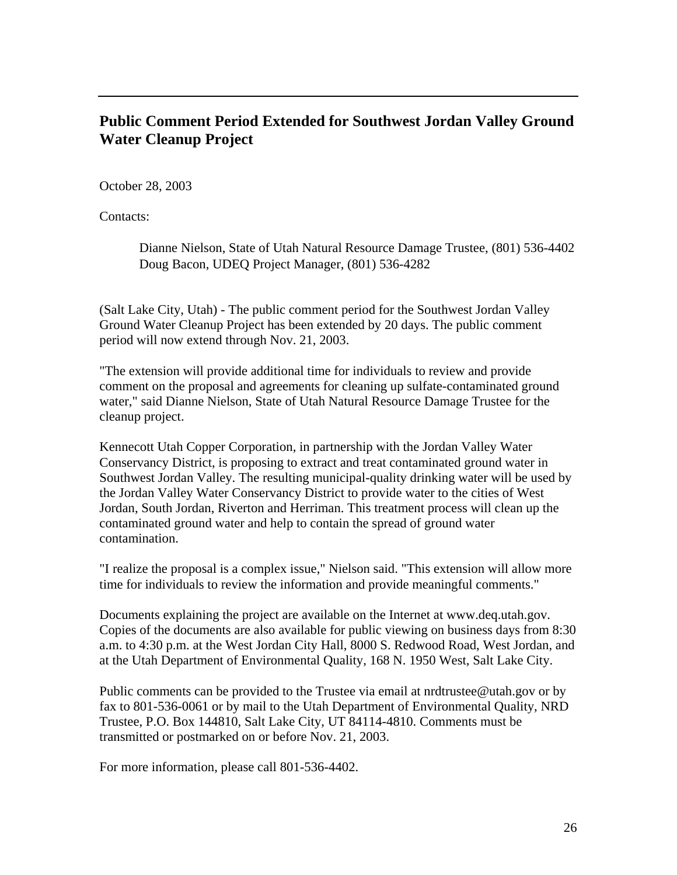### **Public Comment Period Extended for Southwest Jordan Valley Ground Water Cleanup Project**

October 28, 2003

Contacts:

Dianne Nielson, State of Utah Natural Resource Damage Trustee, (801) 536-4402 Doug Bacon, UDEQ Project Manager, (801) 536-4282

(Salt Lake City, Utah) - The public comment period for the Southwest Jordan Valley Ground Water Cleanup Project has been extended by 20 days. The public comment period will now extend through Nov. 21, 2003.

"The extension will provide additional time for individuals to review and provide comment on the proposal and agreements for cleaning up sulfate-contaminated ground water," said Dianne Nielson, State of Utah Natural Resource Damage Trustee for the cleanup project.

Kennecott Utah Copper Corporation, in partnership with the Jordan Valley Water Conservancy District, is proposing to extract and treat contaminated ground water in Southwest Jordan Valley. The resulting municipal-quality drinking water will be used by the Jordan Valley Water Conservancy District to provide water to the cities of West Jordan, South Jordan, Riverton and Herriman. This treatment process will clean up the contaminated ground water and help to contain the spread of ground water contamination.

"I realize the proposal is a complex issue," Nielson said. "This extension will allow more time for individuals to review the information and provide meaningful comments."

Documents explaining the project are available on the Internet at www.deq.utah.gov. Copies of the documents are also available for public viewing on business days from 8:30 a.m. to 4:30 p.m. at the West Jordan City Hall, 8000 S. Redwood Road, West Jordan, and at the Utah Department of Environmental Quality, 168 N. 1950 West, Salt Lake City.

Public comments can be provided to the Trustee via email at nrdtrustee@utah.gov or by fax to 801-536-0061 or by mail to the Utah Department of Environmental Quality, NRD Trustee, P.O. Box 144810, Salt Lake City, UT 84114-4810. Comments must be transmitted or postmarked on or before Nov. 21, 2003.

For more information, please call 801-536-4402.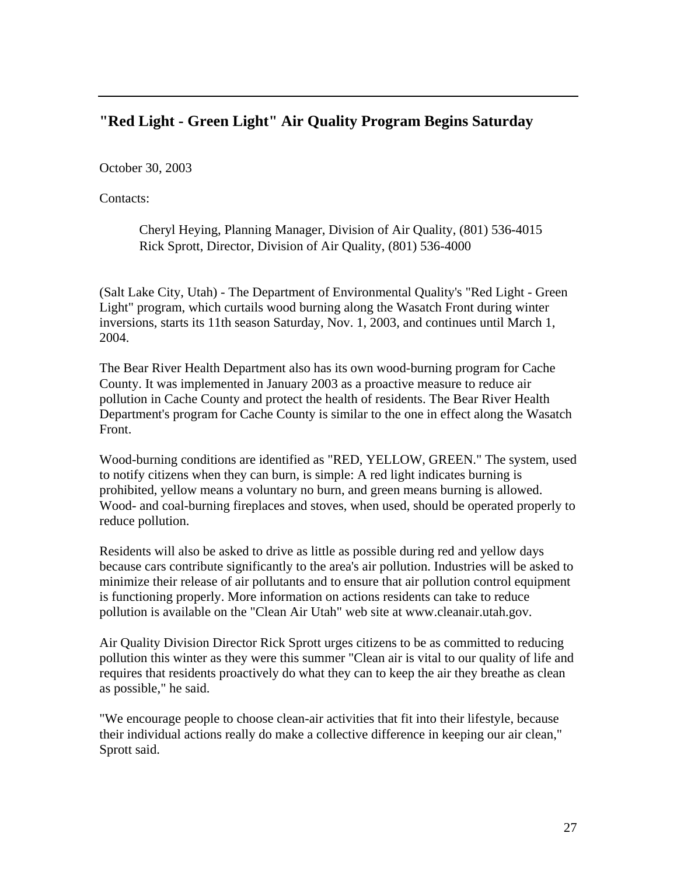# **"Red Light - Green Light" Air Quality Program Begins Saturday**

October 30, 2003

Contacts:

Cheryl Heying, Planning Manager, Division of Air Quality, (801) 536-4015 Rick Sprott, Director, Division of Air Quality, (801) 536-4000

(Salt Lake City, Utah) - The Department of Environmental Quality's "Red Light - Green Light" program, which curtails wood burning along the Wasatch Front during winter inversions, starts its 11th season Saturday, Nov. 1, 2003, and continues until March 1, 2004.

The Bear River Health Department also has its own wood-burning program for Cache County. It was implemented in January 2003 as a proactive measure to reduce air pollution in Cache County and protect the health of residents. The Bear River Health Department's program for Cache County is similar to the one in effect along the Wasatch Front.

Wood-burning conditions are identified as "RED, YELLOW, GREEN." The system, used to notify citizens when they can burn, is simple: A red light indicates burning is prohibited, yellow means a voluntary no burn, and green means burning is allowed. Wood- and coal-burning fireplaces and stoves, when used, should be operated properly to reduce pollution.

Residents will also be asked to drive as little as possible during red and yellow days because cars contribute significantly to the area's air pollution. Industries will be asked to minimize their release of air pollutants and to ensure that air pollution control equipment is functioning properly. More information on actions residents can take to reduce pollution is available on the "Clean Air Utah" web site at www.cleanair.utah.gov.

Air Quality Division Director Rick Sprott urges citizens to be as committed to reducing pollution this winter as they were this summer "Clean air is vital to our quality of life and requires that residents proactively do what they can to keep the air they breathe as clean as possible," he said.

"We encourage people to choose clean-air activities that fit into their lifestyle, because their individual actions really do make a collective difference in keeping our air clean," Sprott said.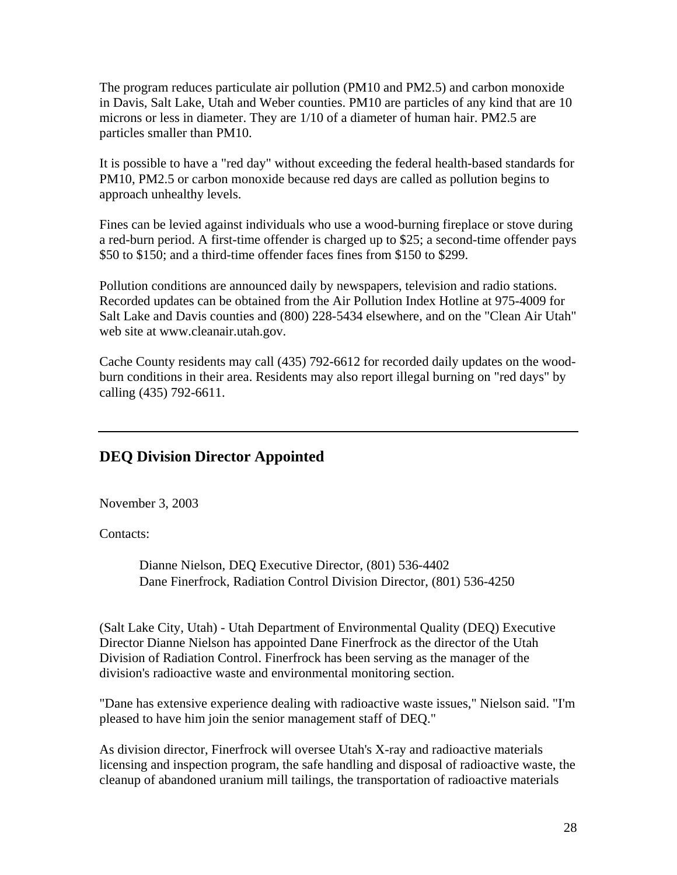The program reduces particulate air pollution (PM10 and PM2.5) and carbon monoxide in Davis, Salt Lake, Utah and Weber counties. PM10 are particles of any kind that are 10 microns or less in diameter. They are 1/10 of a diameter of human hair. PM2.5 are particles smaller than PM10.

It is possible to have a "red day" without exceeding the federal health-based standards for PM10, PM2.5 or carbon monoxide because red days are called as pollution begins to approach unhealthy levels.

Fines can be levied against individuals who use a wood-burning fireplace or stove during a red-burn period. A first-time offender is charged up to \$25; a second-time offender pays \$50 to \$150; and a third-time offender faces fines from \$150 to \$299.

Pollution conditions are announced daily by newspapers, television and radio stations. Recorded updates can be obtained from the Air Pollution Index Hotline at 975-4009 for Salt Lake and Davis counties and (800) 228-5434 elsewhere, and on the "Clean Air Utah" web site at www.cleanair.utah.gov.

Cache County residents may call (435) 792-6612 for recorded daily updates on the woodburn conditions in their area. Residents may also report illegal burning on "red days" by calling (435) 792-6611.

### **DEQ Division Director Appointed**

November 3, 2003

Contacts:

Dianne Nielson, DEQ Executive Director, (801) 536-4402 Dane Finerfrock, Radiation Control Division Director, (801) 536-4250

(Salt Lake City, Utah) - Utah Department of Environmental Quality (DEQ) Executive Director Dianne Nielson has appointed Dane Finerfrock as the director of the Utah Division of Radiation Control. Finerfrock has been serving as the manager of the division's radioactive waste and environmental monitoring section.

"Dane has extensive experience dealing with radioactive waste issues," Nielson said. "I'm pleased to have him join the senior management staff of DEQ."

As division director, Finerfrock will oversee Utah's X-ray and radioactive materials licensing and inspection program, the safe handling and disposal of radioactive waste, the cleanup of abandoned uranium mill tailings, the transportation of radioactive materials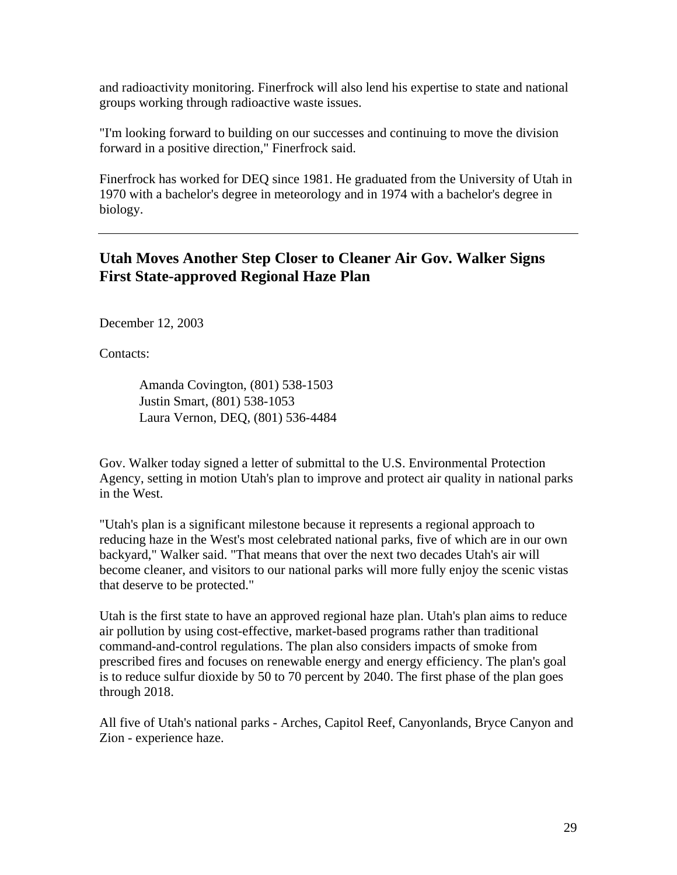and radioactivity monitoring. Finerfrock will also lend his expertise to state and national groups working through radioactive waste issues.

"I'm looking forward to building on our successes and continuing to move the division forward in a positive direction," Finerfrock said.

Finerfrock has worked for DEQ since 1981. He graduated from the University of Utah in 1970 with a bachelor's degree in meteorology and in 1974 with a bachelor's degree in biology.

# **Utah Moves Another Step Closer to Cleaner Air Gov. Walker Signs First State-approved Regional Haze Plan**

December 12, 2003

Contacts:

Amanda Covington, (801) 538-1503 Justin Smart, (801) 538-1053 Laura Vernon, DEQ, (801) 536-4484

Gov. Walker today signed a letter of submittal to the U.S. Environmental Protection Agency, setting in motion Utah's plan to improve and protect air quality in national parks in the West.

"Utah's plan is a significant milestone because it represents a regional approach to reducing haze in the West's most celebrated national parks, five of which are in our own backyard," Walker said. "That means that over the next two decades Utah's air will become cleaner, and visitors to our national parks will more fully enjoy the scenic vistas that deserve to be protected."

Utah is the first state to have an approved regional haze plan. Utah's plan aims to reduce air pollution by using cost-effective, market-based programs rather than traditional command-and-control regulations. The plan also considers impacts of smoke from prescribed fires and focuses on renewable energy and energy efficiency. The plan's goal is to reduce sulfur dioxide by 50 to 70 percent by 2040. The first phase of the plan goes through 2018.

All five of Utah's national parks - Arches, Capitol Reef, Canyonlands, Bryce Canyon and Zion - experience haze.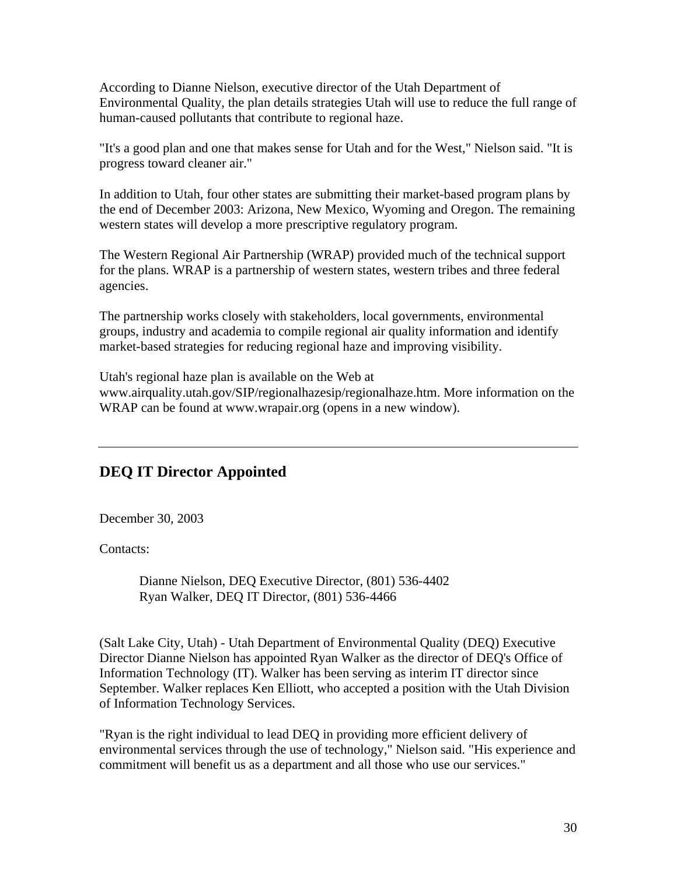According to Dianne Nielson, executive director of the Utah Department of Environmental Quality, the plan details strategies Utah will use to reduce the full range of human-caused pollutants that contribute to regional haze.

"It's a good plan and one that makes sense for Utah and for the West," Nielson said. "It is progress toward cleaner air."

In addition to Utah, four other states are submitting their market-based program plans by the end of December 2003: Arizona, New Mexico, Wyoming and Oregon. The remaining western states will develop a more prescriptive regulatory program.

The Western Regional Air Partnership (WRAP) provided much of the technical support for the plans. WRAP is a partnership of western states, western tribes and three federal agencies.

The partnership works closely with stakeholders, local governments, environmental groups, industry and academia to compile regional air quality information and identify market-based strategies for reducing regional haze and improving visibility.

Utah's regional haze plan is available on the Web at www.airquality.utah.gov/SIP/regionalhazesip/regionalhaze.htm. More information on the WRAP can be found at www.wrapair.org (opens in a new window).

# **DEQ IT Director Appointed**

December 30, 2003

Contacts:

Dianne Nielson, DEQ Executive Director, (801) 536-4402 Ryan Walker, DEQ IT Director, (801) 536-4466

(Salt Lake City, Utah) - Utah Department of Environmental Quality (DEQ) Executive Director Dianne Nielson has appointed Ryan Walker as the director of DEQ's Office of Information Technology (IT). Walker has been serving as interim IT director since September. Walker replaces Ken Elliott, who accepted a position with the Utah Division of Information Technology Services.

"Ryan is the right individual to lead DEQ in providing more efficient delivery of environmental services through the use of technology," Nielson said. "His experience and commitment will benefit us as a department and all those who use our services."